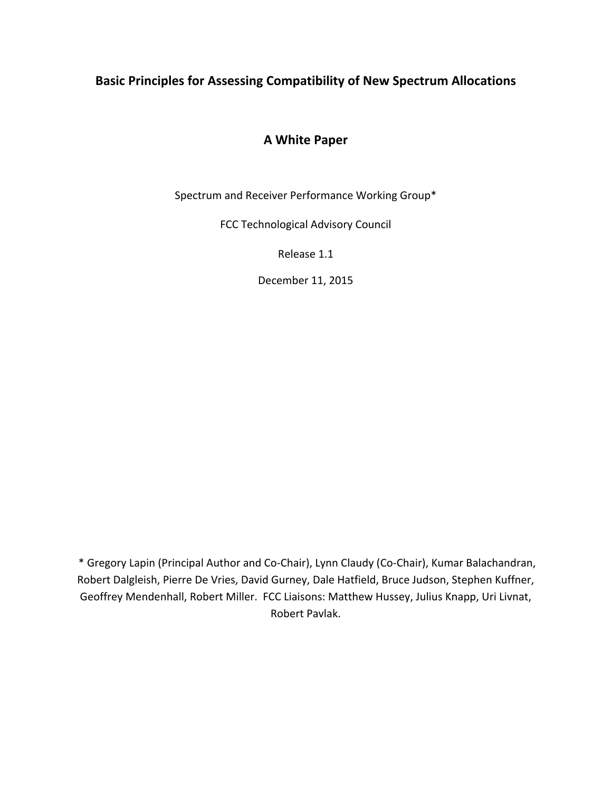## **Basic Principles for Assessing Compatibility of New Spectrum Allocations**

## **A White Paper**

Spectrum and Receiver Performance Working Group\*

FCC Technological Advisory Council

Release 1.1

December 11, 2015

 \* Gregory Lapin (Principal Author and Co‐Chair), Lynn Claudy (Co‐Chair), Kumar Balachandran, Robert Dalgleish, Pierre De Vries, David Gurney, Dale Hatfield, Bruce Judson, Stephen Kuffner, Geoffrey Mendenhall, Robert Miller. FCC Liaisons: Matthew Hussey, Julius Knapp, Uri Livnat, Robert Pavlak.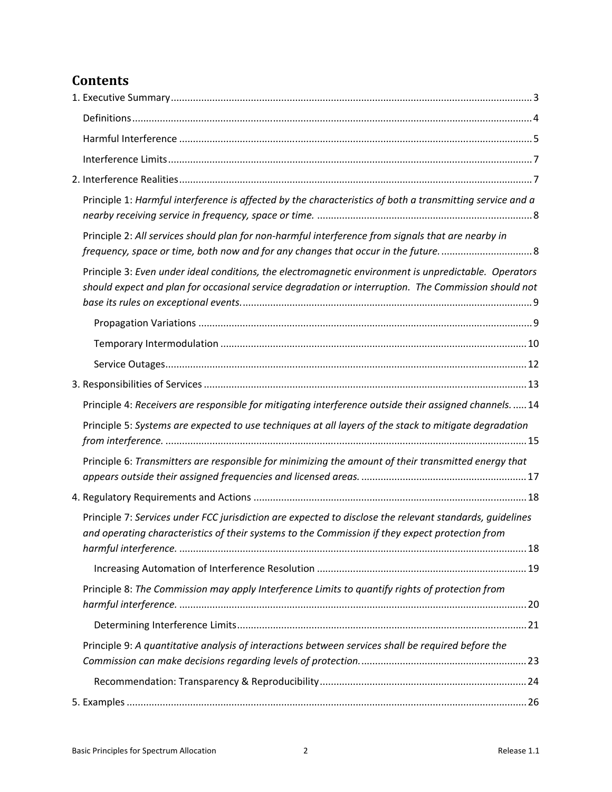# **Contents**

| Principle 1: Harmful interference is affected by the characteristics of both a transmitting service and a                                                                                                     |
|---------------------------------------------------------------------------------------------------------------------------------------------------------------------------------------------------------------|
| Principle 2: All services should plan for non-harmful interference from signals that are nearby in                                                                                                            |
| Principle 3: Even under ideal conditions, the electromagnetic environment is unpredictable. Operators<br>should expect and plan for occasional service degradation or interruption. The Commission should not |
|                                                                                                                                                                                                               |
|                                                                                                                                                                                                               |
|                                                                                                                                                                                                               |
|                                                                                                                                                                                                               |
| Principle 4: Receivers are responsible for mitigating interference outside their assigned channels.  14                                                                                                       |
| Principle 5: Systems are expected to use techniques at all layers of the stack to mitigate degradation                                                                                                        |
| Principle 6: Transmitters are responsible for minimizing the amount of their transmitted energy that                                                                                                          |
|                                                                                                                                                                                                               |
| Principle 7: Services under FCC jurisdiction are expected to disclose the relevant standards, guidelines<br>and operating characteristics of their systems to the Commission if they expect protection from   |
|                                                                                                                                                                                                               |
| Principle 8: The Commission may apply Interference Limits to quantify rights of protection from                                                                                                               |
|                                                                                                                                                                                                               |
| Principle 9: A quantitative analysis of interactions between services shall be required before the                                                                                                            |
|                                                                                                                                                                                                               |
|                                                                                                                                                                                                               |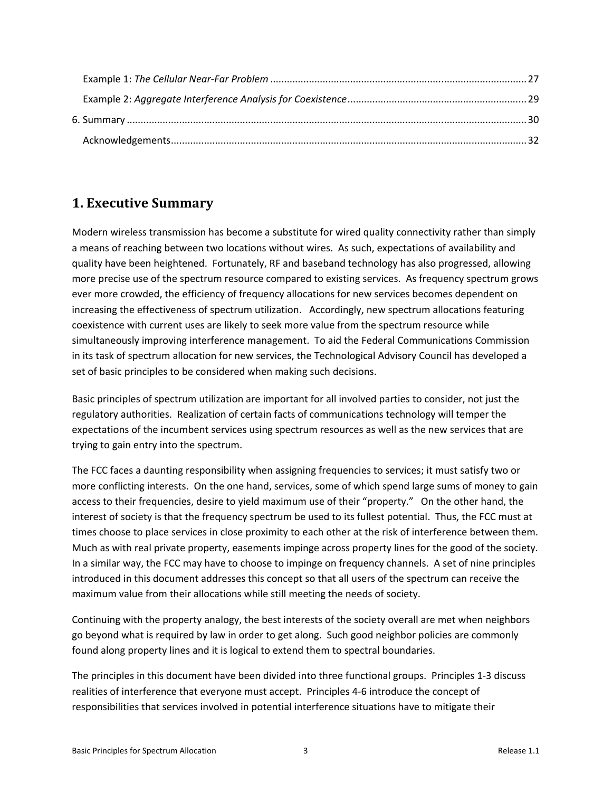## **1. Executive Summary**

Modern wireless transmission has become a substitute for wired quality connectivity rather than simply a means of reaching between two locations without wires. As such, expectations of availability and quality have been heightened. Fortunately, RF and baseband technology has also progressed, allowing more precise use of the spectrum resource compared to existing services. As frequency spectrum grows ever more crowded, the efficiency of frequency allocations for new services becomes dependent on increasing the effectiveness of spectrum utilization. Accordingly, new spectrum allocations featuring coexistence with current uses are likely to seek more value from the spectrum resource while simultaneously improving interference management. To aid the Federal Communications Commission in its task of spectrum allocation for new services, the Technological Advisory Council has developed a set of basic principles to be considered when making such decisions.

Basic principles of spectrum utilization are important for all involved parties to consider, not just the regulatory authorities. Realization of certain facts of communications technology will temper the expectations of the incumbent services using spectrum resources as well as the new services that are trying to gain entry into the spectrum.

The FCC faces a daunting responsibility when assigning frequencies to services; it must satisfy two or more conflicting interests. On the one hand, services, some of which spend large sums of money to gain access to their frequencies, desire to yield maximum use of their "property." On the other hand, the interest of society is that the frequency spectrum be used to its fullest potential. Thus, the FCC must at times choose to place services in close proximity to each other at the risk of interference between them. Much as with real private property, easements impinge across property lines for the good of the society. In a similar way, the FCC may have to choose to impinge on frequency channels. A set of nine principles introduced in this document addresses this concept so that all users of the spectrum can receive the maximum value from their allocations while still meeting the needs of society.

Continuing with the property analogy, the best interests of the society overall are met when neighbors go beyond what is required by law in order to get along. Such good neighbor policies are commonly found along property lines and it is logical to extend them to spectral boundaries.

The principles in this document have been divided into three functional groups. Principles 1‐3 discuss realities of interference that everyone must accept. Principles 4‐6 introduce the concept of responsibilities that services involved in potential interference situations have to mitigate their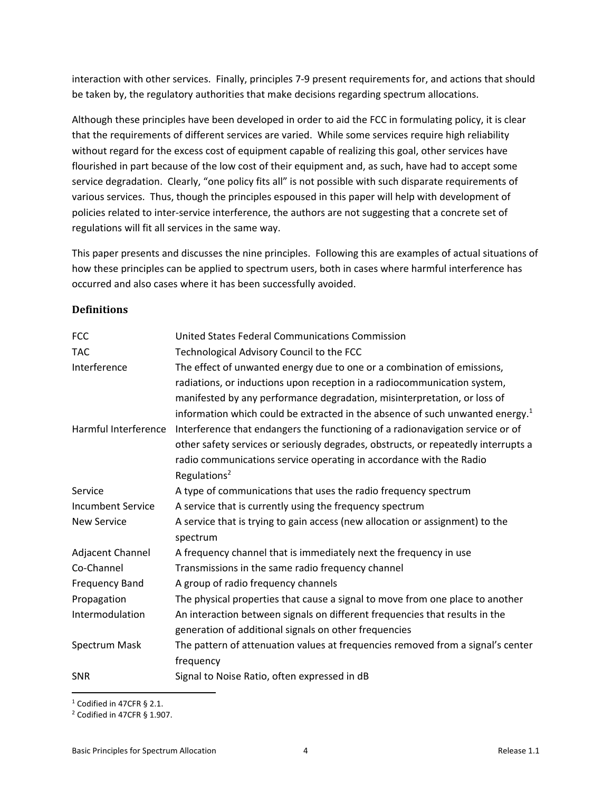interaction with other services. Finally, principles 7‐9 present requirements for, and actions that should be taken by, the regulatory authorities that make decisions regarding spectrum allocations.

Although these principles have been developed in order to aid the FCC in formulating policy, it is clear that the requirements of different services are varied. While some services require high reliability without regard for the excess cost of equipment capable of realizing this goal, other services have flourished in part because of the low cost of their equipment and, as such, have had to accept some service degradation. Clearly, "one policy fits all" is not possible with such disparate requirements of various services. Thus, though the principles espoused in this paper will help with development of policies related to inter‐service interference, the authors are not suggesting that a concrete set of regulations will fit all services in the same way.

This paper presents and discusses the nine principles. Following this are examples of actual situations of how these principles can be applied to spectrum users, both in cases where harmful interference has occurred and also cases where it has been successfully avoided.

#### **Definitions**

| <b>FCC</b>               | United States Federal Communications Commission                                           |
|--------------------------|-------------------------------------------------------------------------------------------|
| <b>TAC</b>               | Technological Advisory Council to the FCC                                                 |
| Interference             | The effect of unwanted energy due to one or a combination of emissions,                   |
|                          | radiations, or inductions upon reception in a radiocommunication system,                  |
|                          | manifested by any performance degradation, misinterpretation, or loss of                  |
|                          | information which could be extracted in the absence of such unwanted energy. <sup>1</sup> |
| Harmful Interference     | Interference that endangers the functioning of a radionavigation service or of            |
|                          | other safety services or seriously degrades, obstructs, or repeatedly interrupts a        |
|                          | radio communications service operating in accordance with the Radio                       |
|                          | Regulations <sup>2</sup>                                                                  |
| Service                  | A type of communications that uses the radio frequency spectrum                           |
| <b>Incumbent Service</b> | A service that is currently using the frequency spectrum                                  |
| <b>New Service</b>       | A service that is trying to gain access (new allocation or assignment) to the             |
|                          | spectrum                                                                                  |
| Adjacent Channel         | A frequency channel that is immediately next the frequency in use                         |
| Co-Channel               | Transmissions in the same radio frequency channel                                         |
| <b>Frequency Band</b>    | A group of radio frequency channels                                                       |
| Propagation              | The physical properties that cause a signal to move from one place to another             |
| Intermodulation          | An interaction between signals on different frequencies that results in the               |
|                          | generation of additional signals on other frequencies                                     |
| Spectrum Mask            | The pattern of attenuation values at frequencies removed from a signal's center           |
|                          | frequency                                                                                 |
| <b>SNR</b>               | Signal to Noise Ratio, often expressed in dB                                              |

1 Codified in 47CFR § 2.1.

<sup>2</sup> Codified in 47CFR § 1.907.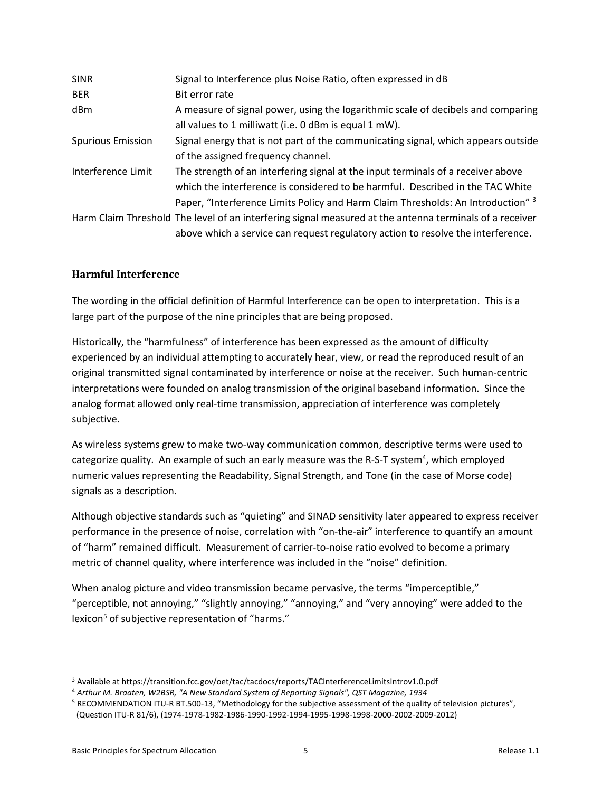| <b>SINR</b>              | Signal to Interference plus Noise Ratio, often expressed in dB                                                                                                                                                                                         |
|--------------------------|--------------------------------------------------------------------------------------------------------------------------------------------------------------------------------------------------------------------------------------------------------|
| <b>BER</b>               | Bit error rate                                                                                                                                                                                                                                         |
| dBm                      | A measure of signal power, using the logarithmic scale of decibels and comparing<br>all values to 1 milliwatt (i.e. 0 dBm is equal 1 mW).                                                                                                              |
| <b>Spurious Emission</b> | Signal energy that is not part of the communicating signal, which appears outside<br>of the assigned frequency channel.                                                                                                                                |
| Interference Limit       | The strength of an interfering signal at the input terminals of a receiver above<br>which the interference is considered to be harmful. Described in the TAC White<br>Paper, "Interference Limits Policy and Harm Claim Thresholds: An Introduction" 3 |
|                          | Harm Claim Threshold The level of an interfering signal measured at the antenna terminals of a receiver<br>above which a service can request regulatory action to resolve the interference.                                                            |

#### **Harmful Interference**

The wording in the official definition of Harmful Interference can be open to interpretation. This is a large part of the purpose of the nine principles that are being proposed.

Historically, the "harmfulness" of interference has been expressed as the amount of difficulty experienced by an individual attempting to accurately hear, view, or read the reproduced result of an original transmitted signal contaminated by interference or noise at the receiver. Such human‐centric interpretations were founded on analog transmission of the original baseband information. Since the analog format allowed only real-time transmission, appreciation of interference was completely subjective.

As wireless systems grew to make two‐way communication common, descriptive terms were used to categorize quality. An example of such an early measure was the R-S-T system<sup>4</sup>, which employed numeric values representing the Readability, Signal Strength, and Tone (in the case of Morse code) signals as a description.

Although objective standards such as "quieting" and SINAD sensitivity later appeared to express receiver performance in the presence of noise, correlation with "on-the-air" interference to quantify an amount of "harm" remained difficult. Measurement of carrier‐to‐noise ratio evolved to become a primary metric of channel quality, where interference was included in the "noise" definition.

When analog picture and video transmission became pervasive, the terms "imperceptible," "perceptible, not annoying," "slightly annoying," "annoying," and "very annoying" were added to the lexicon<sup>5</sup> of subjective representation of "harms."

<sup>3</sup> Available at https://transition.fcc.gov/oet/tac/tacdocs/reports/TACInterferenceLimitsIntrov1.0.pdf

<sup>4</sup> *Arthur M. Braaten, W2BSR, "A New Standard System of Reporting Signals", QST Magazine, 1934*

<sup>5</sup> RECOMMENDATION ITU‐R BT.500‐13, "Methodology for the subjective assessment of the quality of television pictures", (Question ITU‐R 81/6), (1974‐1978‐1982‐1986‐1990‐1992‐1994‐1995‐1998‐1998‐2000‐2002‐2009‐2012)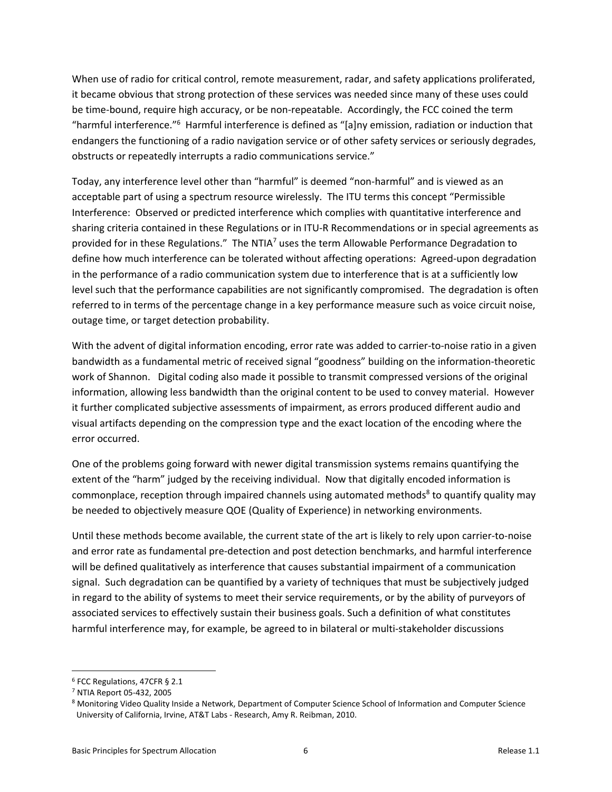When use of radio for critical control, remote measurement, radar, and safety applications proliferated, it became obvious that strong protection of these services was needed since many of these uses could be time-bound, require high accuracy, or be non-repeatable. Accordingly, the FCC coined the term "harmful interference."<sup>6</sup> Harmful interference is defined as "[a]ny emission, radiation or induction that endangers the functioning of a radio navigation service or of other safety services or seriously degrades, obstructs or repeatedly interrupts a radio communications service."

Today, any interference level other than "harmful" is deemed "non‐harmful" and is viewed as an acceptable part of using a spectrum resource wirelessly. The ITU terms this concept "Permissible Interference: Observed or predicted interference which complies with quantitative interference and sharing criteria contained in these Regulations or in ITU‐R Recommendations or in special agreements as provided for in these Regulations." The NTIA<sup>7</sup> uses the term Allowable Performance Degradation to define how much interference can be tolerated without affecting operations: Agreed‐upon degradation in the performance of a radio communication system due to interference that is at a sufficiently low level such that the performance capabilities are not significantly compromised. The degradation is often referred to in terms of the percentage change in a key performance measure such as voice circuit noise, outage time, or target detection probability.

With the advent of digital information encoding, error rate was added to carrier-to-noise ratio in a given bandwidth as a fundamental metric of received signal "goodness" building on the information‐theoretic work of Shannon. Digital coding also made it possible to transmit compressed versions of the original information, allowing less bandwidth than the original content to be used to convey material. However it further complicated subjective assessments of impairment, as errors produced different audio and visual artifacts depending on the compression type and the exact location of the encoding where the error occurred.

One of the problems going forward with newer digital transmission systems remains quantifying the extent of the "harm" judged by the receiving individual. Now that digitally encoded information is commonplace, reception through impaired channels using automated methods<sup>8</sup> to quantify quality may be needed to objectively measure QOE (Quality of Experience) in networking environments.

Until these methods become available, the current state of the art is likely to rely upon carrier‐to‐noise and error rate as fundamental pre‐detection and post detection benchmarks, and harmful interference will be defined qualitatively as interference that causes substantial impairment of a communication signal. Such degradation can be quantified by a variety of techniques that must be subjectively judged in regard to the ability of systems to meet their service requirements, or by the ability of purveyors of associated services to effectively sustain their business goals. Such a definition of what constitutes harmful interference may, for example, be agreed to in bilateral or multi‐stakeholder discussions

<sup>6</sup> FCC Regulations, 47CFR § 2.1

<sup>7</sup> NTIA Report 05‐432, 2005

<sup>8</sup> Monitoring Video Quality Inside a Network, Department of Computer Science School of Information and Computer Science University of California, Irvine, AT&T Labs ‐ Research, Amy R. Reibman, 2010.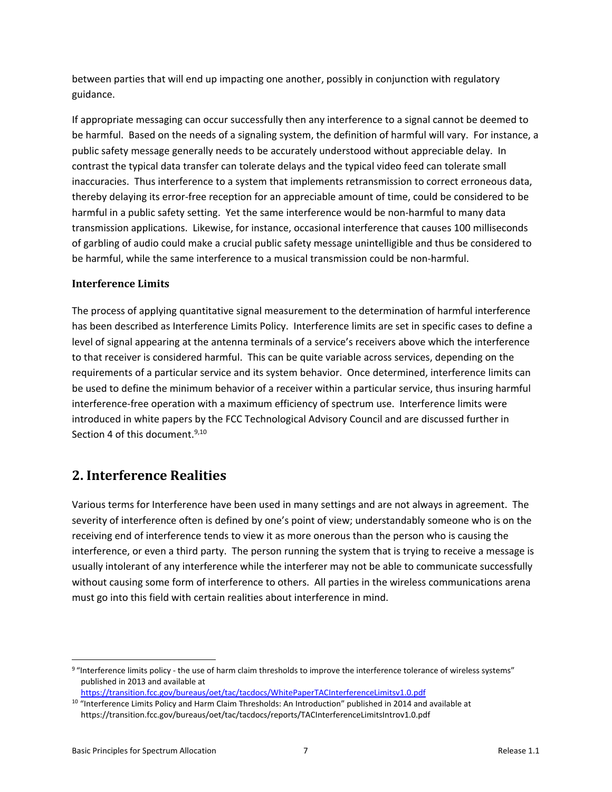between parties that will end up impacting one another, possibly in conjunction with regulatory guidance.

If appropriate messaging can occur successfully then any interference to a signal cannot be deemed to be harmful. Based on the needs of a signaling system, the definition of harmful will vary. For instance, a public safety message generally needs to be accurately understood without appreciable delay. In contrast the typical data transfer can tolerate delays and the typical video feed can tolerate small inaccuracies. Thus interference to a system that implements retransmission to correct erroneous data, thereby delaying its error‐free reception for an appreciable amount of time, could be considered to be harmful in a public safety setting. Yet the same interference would be non-harmful to many data transmission applications. Likewise, for instance, occasional interference that causes 100 milliseconds of garbling of audio could make a crucial public safety message unintelligible and thus be considered to be harmful, while the same interference to a musical transmission could be non-harmful.

#### **Interference Limits**

The process of applying quantitative signal measurement to the determination of harmful interference has been described as Interference Limits Policy. Interference limits are set in specific cases to define a level of signal appearing at the antenna terminals of a service's receivers above which the interference to that receiver is considered harmful. This can be quite variable across services, depending on the requirements of a particular service and its system behavior. Once determined, interference limits can be used to define the minimum behavior of a receiver within a particular service, thus insuring harmful interference‐free operation with a maximum efficiency of spectrum use. Interference limits were introduced in white papers by the FCC Technological Advisory Council and are discussed further in Section 4 of this document.<sup>9,10</sup>

## **2. Interference Realities**

Various terms for Interference have been used in many settings and are not always in agreement. The severity of interference often is defined by one's point of view; understandably someone who is on the receiving end of interference tends to view it as more onerous than the person who is causing the interference, or even a third party. The person running the system that is trying to receive a message is usually intolerant of any interference while the interferer may not be able to communicate successfully without causing some form of interference to others. All parties in the wireless communications arena must go into this field with certain realities about interference in mind.

<sup>9 &</sup>quot;Interference limits policy - the use of harm claim thresholds to improve the interference tolerance of wireless systems" published in 2013 and available at

https://transition.fcc.gov/bureaus/oet/tac/tacdocs/WhitePaperTACInterferenceLimitsv1.0.pdf

<sup>&</sup>lt;sup>10</sup> "Interference Limits Policy and Harm Claim Thresholds: An Introduction" published in 2014 and available at https://transition.fcc.gov/bureaus/oet/tac/tacdocs/reports/TACInterferenceLimitsIntrov1.0.pdf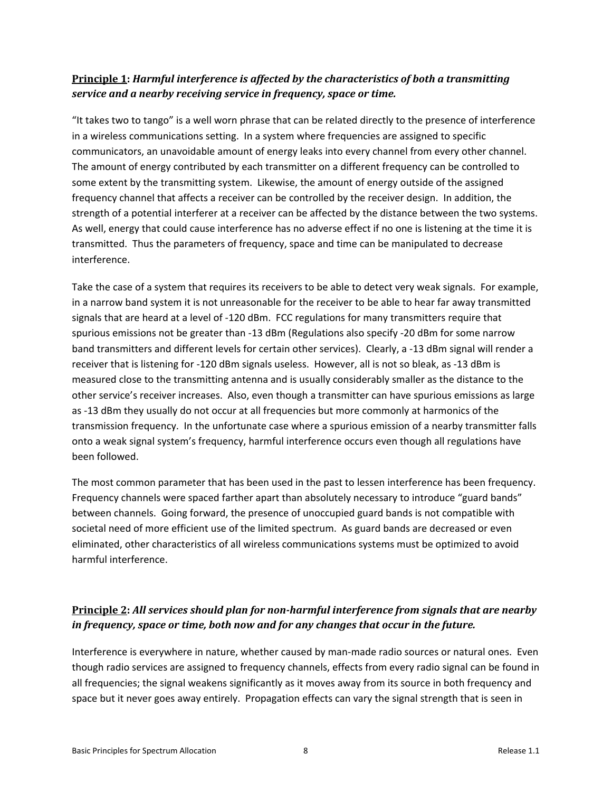### **Principle 1:** *Harmful interference is affected by the characteristics of both a transmitting service and a nearby receiving service in frequency, space or time.*

"It takes two to tango" is a well worn phrase that can be related directly to the presence of interference in a wireless communications setting. In a system where frequencies are assigned to specific communicators, an unavoidable amount of energy leaks into every channel from every other channel. The amount of energy contributed by each transmitter on a different frequency can be controlled to some extent by the transmitting system. Likewise, the amount of energy outside of the assigned frequency channel that affects a receiver can be controlled by the receiver design. In addition, the strength of a potential interferer at a receiver can be affected by the distance between the two systems. As well, energy that could cause interference has no adverse effect if no one is listening at the time it is transmitted. Thus the parameters of frequency, space and time can be manipulated to decrease interference.

Take the case of a system that requires its receivers to be able to detect very weak signals. For example, in a narrow band system it is not unreasonable for the receiver to be able to hear far away transmitted signals that are heard at a level of ‐120 dBm. FCC regulations for many transmitters require that spurious emissions not be greater than -13 dBm (Regulations also specify -20 dBm for some narrow band transmitters and different levels for certain other services). Clearly, a ‐13 dBm signal will render a receiver that is listening for ‐120 dBm signals useless. However, all is not so bleak, as ‐13 dBm is measured close to the transmitting antenna and is usually considerably smaller as the distance to the other service's receiver increases. Also, even though a transmitter can have spurious emissions as large as ‐13 dBm they usually do not occur at all frequencies but more commonly at harmonics of the transmission frequency. In the unfortunate case where a spurious emission of a nearby transmitter falls onto a weak signal system's frequency, harmful interference occurs even though all regulations have been followed.

The most common parameter that has been used in the past to lessen interference has been frequency. Frequency channels were spaced farther apart than absolutely necessary to introduce "guard bands" between channels. Going forward, the presence of unoccupied guard bands is not compatible with societal need of more efficient use of the limited spectrum. As guard bands are decreased or even eliminated, other characteristics of all wireless communications systems must be optimized to avoid harmful interference.

## **Principle 2:** *All services should plan for non‐harmful interference from signals that are nearby in frequency, space or time, both now and for any changes that occur in the future.*

Interference is everywhere in nature, whether caused by man‐made radio sources or natural ones. Even though radio services are assigned to frequency channels, effects from every radio signal can be found in all frequencies; the signal weakens significantly as it moves away from its source in both frequency and space but it never goes away entirely. Propagation effects can vary the signal strength that is seen in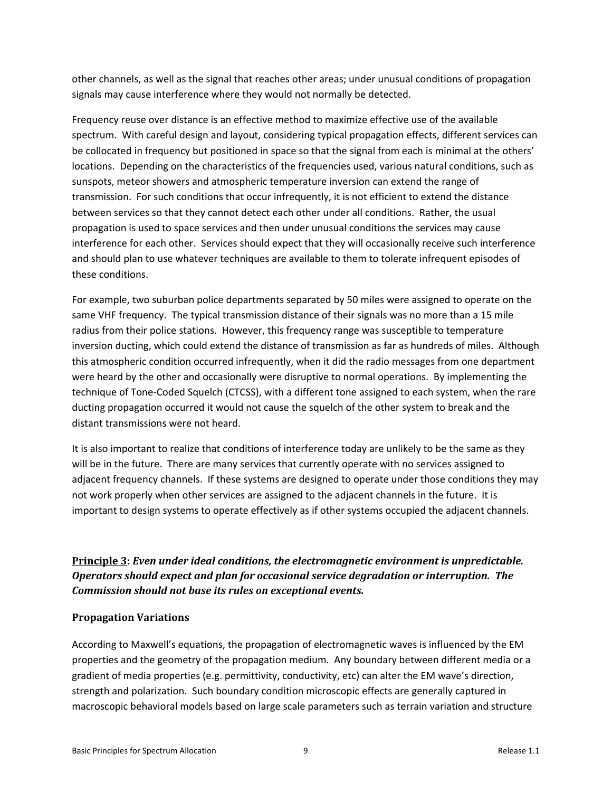other channels, as well as the signal that reaches other areas; under unusual conditions of propagation signals may cause interference where they would not normally be detected.

Frequency reuse over distance is an effective method to maximize effective use of the available spectrum. With careful design and layout, considering typical propagation effects, different services can be collocated in frequency but positioned in space so that the signal from each is minimal at the others' locations. Depending on the characteristics of the frequencies used, various natural conditions, such as sunspots, meteor showers and atmospheric temperature inversion can extend the range of transmission. For such conditions that occur infrequently, it is not efficient to extend the distance between services so that they cannot detect each other under all conditions. Rather, the usual propagation is used to space services and then under unusual conditions the services may cause interference for each other. Services should expect that they will occasionally receive such interference and should plan to use whatever techniques are available to them to tolerate infrequent episodes of these conditions.

For example, two suburban police departments separated by 50 miles were assigned to operate on the same VHF frequency. The typical transmission distance of their signals was no more than a 15 mile radius from their police stations. However, this frequency range was susceptible to temperature inversion ducting, which could extend the distance of transmission as far as hundreds of miles. Although this atmospheric condition occurred infrequently, when it did the radio messages from one department were heard by the other and occasionally were disruptive to normal operations. By implementing the technique of Tone‐Coded Squelch (CTCSS), with a different tone assigned to each system, when the rare ducting propagation occurred it would not cause the squelch of the other system to break and the distant transmissions were not heard.

It is also important to realize that conditions of interference today are unlikely to be the same as they will be in the future. There are many services that currently operate with no services assigned to adjacent frequency channels. If these systems are designed to operate under those conditions they may not work properly when other services are assigned to the adjacent channels in the future. It is important to design systems to operate effectively as if other systems occupied the adjacent channels.

**Principle 3:** *Even under ideal conditions, the electromagnetic environment is unpredictable. Operators should expect and plan for occasional service degradation or interruption. The Commission should not base its rules on exceptional events.*

#### **Propagation Variations**

According to Maxwell's equations, the propagation of electromagnetic waves is influenced by the EM properties and the geometry of the propagation medium. Any boundary between different media or a gradient of media properties (e.g. permittivity, conductivity, etc) can alter the EM wave's direction, strength and polarization. Such boundary condition microscopic effects are generally captured in macroscopic behavioral models based on large scale parameters such as terrain variation and structure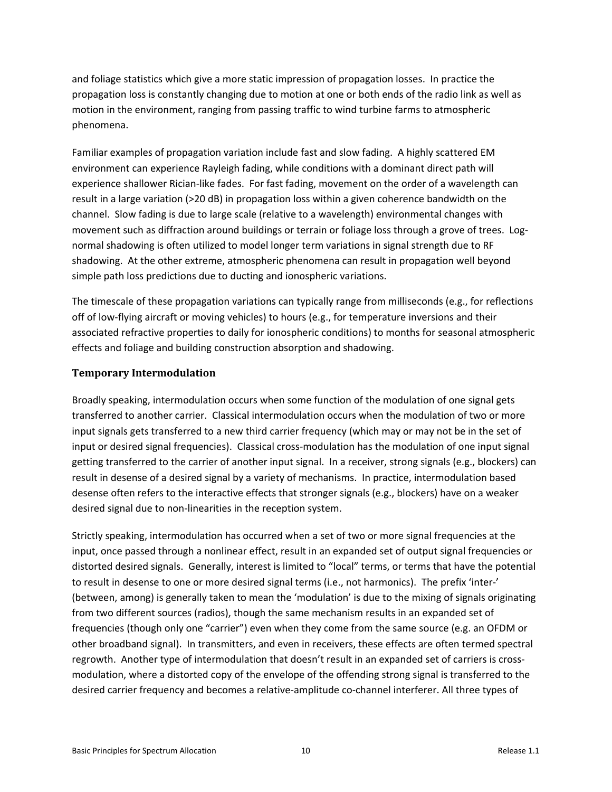and foliage statistics which give a more static impression of propagation losses. In practice the propagation loss is constantly changing due to motion at one or both ends of the radio link as well as motion in the environment, ranging from passing traffic to wind turbine farms to atmospheric phenomena.

Familiar examples of propagation variation include fast and slow fading. A highly scattered EM environment can experience Rayleigh fading, while conditions with a dominant direct path will experience shallower Rician-like fades. For fast fading, movement on the order of a wavelength can result in a large variation (>20 dB) in propagation loss within a given coherence bandwidth on the channel. Slow fading is due to large scale (relative to a wavelength) environmental changes with movement such as diffraction around buildings or terrain or foliage loss through a grove of trees. Lognormal shadowing is often utilized to model longer term variations in signal strength due to RF shadowing. At the other extreme, atmospheric phenomena can result in propagation well beyond simple path loss predictions due to ducting and ionospheric variations.

The timescale of these propagation variations can typically range from milliseconds (e.g., for reflections off of low‐flying aircraft or moving vehicles) to hours (e.g., for temperature inversions and their associated refractive properties to daily for ionospheric conditions) to months for seasonal atmospheric effects and foliage and building construction absorption and shadowing.

#### **Temporary Intermodulation**

Broadly speaking, intermodulation occurs when some function of the modulation of one signal gets transferred to another carrier. Classical intermodulation occurs when the modulation of two or more input signals gets transferred to a new third carrier frequency (which may or may not be in the set of input or desired signal frequencies). Classical cross-modulation has the modulation of one input signal getting transferred to the carrier of another input signal. In a receiver, strong signals (e.g., blockers) can result in desense of a desired signal by a variety of mechanisms. In practice, intermodulation based desense often refers to the interactive effects that stronger signals (e.g., blockers) have on a weaker desired signal due to non‐linearities in the reception system.

Strictly speaking, intermodulation has occurred when a set of two or more signal frequencies at the input, once passed through a nonlinear effect, result in an expanded set of output signal frequencies or distorted desired signals. Generally, interest is limited to "local" terms, or terms that have the potential to result in desense to one or more desired signal terms (i.e., not harmonics). The prefix 'inter‐' (between, among) is generally taken to mean the 'modulation' is due to the mixing of signals originating from two different sources (radios), though the same mechanism results in an expanded set of frequencies (though only one "carrier") even when they come from the same source (e.g. an OFDM or other broadband signal). In transmitters, and even in receivers, these effects are often termed spectral regrowth. Another type of intermodulation that doesn't result in an expanded set of carriers is crossmodulation, where a distorted copy of the envelope of the offending strong signal is transferred to the desired carrier frequency and becomes a relative‐amplitude co‐channel interferer. All three types of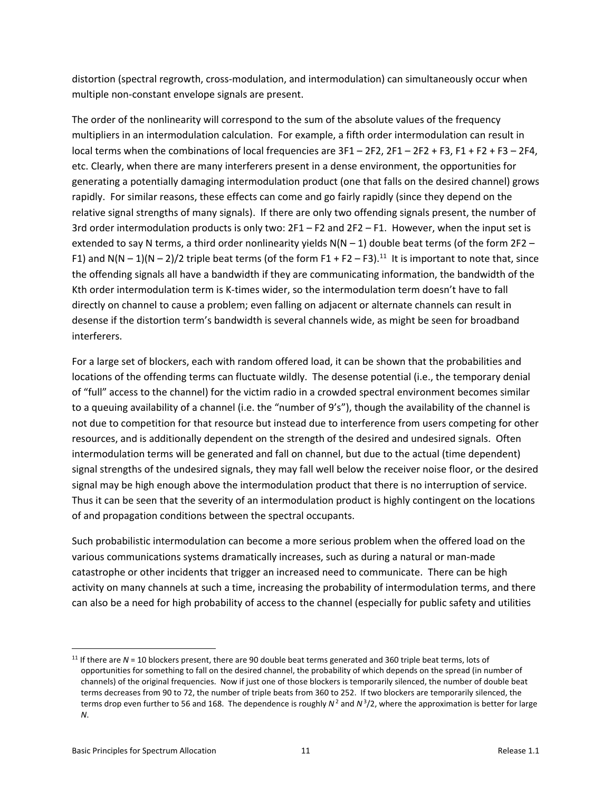distortion (spectral regrowth, cross‐modulation, and intermodulation) can simultaneously occur when multiple non‐constant envelope signals are present.

The order of the nonlinearity will correspond to the sum of the absolute values of the frequency multipliers in an intermodulation calculation. For example, a fifth order intermodulation can result in local terms when the combinations of local frequencies are  $3F1 - 2F2$ ,  $2F1 - 2F2 + F3$ ,  $F1 + F2 + F3 - 2F4$ , etc. Clearly, when there are many interferers present in a dense environment, the opportunities for generating a potentially damaging intermodulation product (one that falls on the desired channel) grows rapidly. For similar reasons, these effects can come and go fairly rapidly (since they depend on the relative signal strengths of many signals). If there are only two offending signals present, the number of 3rd order intermodulation products is only two: 2F1 – F2 and 2F2 – F1. However, when the input set is extended to say N terms, a third order nonlinearity yields  $N(N - 1)$  double beat terms (of the form 2F2 – F1) and N(N – 1)(N – 2)/2 triple beat terms (of the form F1 + F2 – F3).<sup>11</sup> It is important to note that, since the offending signals all have a bandwidth if they are communicating information, the bandwidth of the Kth order intermodulation term is K‐times wider, so the intermodulation term doesn't have to fall directly on channel to cause a problem; even falling on adjacent or alternate channels can result in desense if the distortion term's bandwidth is several channels wide, as might be seen for broadband interferers.

For a large set of blockers, each with random offered load, it can be shown that the probabilities and locations of the offending terms can fluctuate wildly. The desense potential (i.e., the temporary denial of "full" access to the channel) for the victim radio in a crowded spectral environment becomes similar to a queuing availability of a channel (i.e. the "number of 9's"), though the availability of the channel is not due to competition for that resource but instead due to interference from users competing for other resources, and is additionally dependent on the strength of the desired and undesired signals. Often intermodulation terms will be generated and fall on channel, but due to the actual (time dependent) signal strengths of the undesired signals, they may fall well below the receiver noise floor, or the desired signal may be high enough above the intermodulation product that there is no interruption of service. Thus it can be seen that the severity of an intermodulation product is highly contingent on the locations of and propagation conditions between the spectral occupants.

Such probabilistic intermodulation can become a more serious problem when the offered load on the various communications systems dramatically increases, such as during a natural or man‐made catastrophe or other incidents that trigger an increased need to communicate. There can be high activity on many channels at such a time, increasing the probability of intermodulation terms, and there can also be a need for high probability of access to the channel (especially for public safety and utilities

<sup>&</sup>lt;sup>11</sup> If there are *N* = 10 blockers present, there are 90 double beat terms generated and 360 triple beat terms, lots of opportunities for something to fall on the desired channel, the probability of which depends on the spread (in number of channels) of the original frequencies. Now if just one of those blockers is temporarily silenced, the number of double beat terms decreases from 90 to 72, the number of triple beats from 360 to 252. If two blockers are temporarily silenced, the terms drop even further to 56 and 168. The dependence is roughly  $N^2$  and  $N^3/2$ , where the approximation is better for large *N*.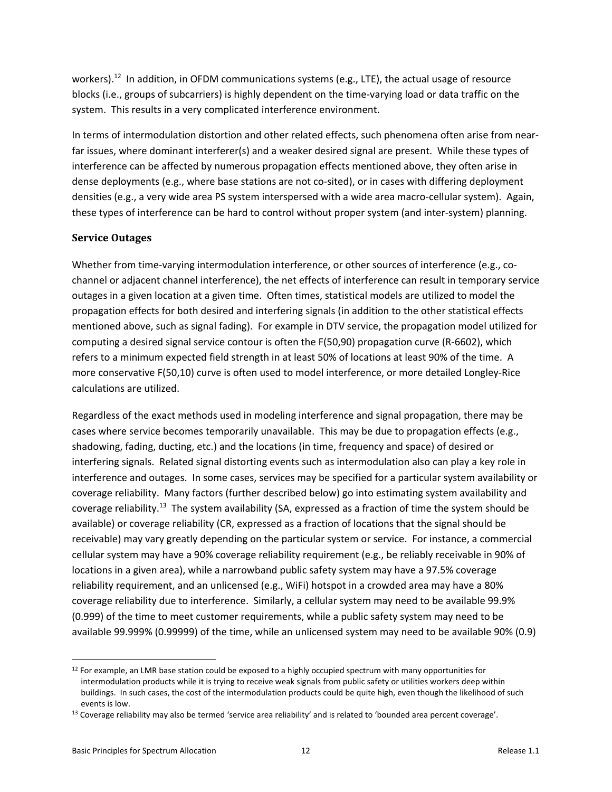workers).<sup>12</sup> In addition, in OFDM communications systems (e.g., LTE), the actual usage of resource blocks (i.e., groups of subcarriers) is highly dependent on the time‐varying load or data traffic on the system. This results in a very complicated interference environment.

In terms of intermodulation distortion and other related effects, such phenomena often arise from near‐ far issues, where dominant interferer(s) and a weaker desired signal are present. While these types of interference can be affected by numerous propagation effects mentioned above, they often arise in dense deployments (e.g., where base stations are not co-sited), or in cases with differing deployment densities (e.g., a very wide area PS system interspersed with a wide area macro-cellular system). Again, these types of interference can be hard to control without proper system (and inter‐system) planning.

#### **Service Outages**

Whether from time-varying intermodulation interference, or other sources of interference (e.g., cochannel or adjacent channel interference), the net effects of interference can result in temporary service outages in a given location at a given time. Often times, statistical models are utilized to model the propagation effects for both desired and interfering signals (in addition to the other statistical effects mentioned above, such as signal fading). For example in DTV service, the propagation model utilized for computing a desired signal service contour is often the F(50,90) propagation curve (R‐6602), which refers to a minimum expected field strength in at least 50% of locations at least 90% of the time. A more conservative F(50,10) curve is often used to model interference, or more detailed Longley‐Rice calculations are utilized.

Regardless of the exact methods used in modeling interference and signal propagation, there may be cases where service becomes temporarily unavailable. This may be due to propagation effects (e.g., shadowing, fading, ducting, etc.) and the locations (in time, frequency and space) of desired or interfering signals. Related signal distorting events such as intermodulation also can play a key role in interference and outages. In some cases, services may be specified for a particular system availability or coverage reliability. Many factors (further described below) go into estimating system availability and coverage reliability.13 The system availability (SA, expressed as a fraction of time the system should be available) or coverage reliability (CR, expressed as a fraction of locations that the signal should be receivable) may vary greatly depending on the particular system or service. For instance, a commercial cellular system may have a 90% coverage reliability requirement (e.g., be reliably receivable in 90% of locations in a given area), while a narrowband public safety system may have a 97.5% coverage reliability requirement, and an unlicensed (e.g., WiFi) hotspot in a crowded area may have a 80% coverage reliability due to interference. Similarly, a cellular system may need to be available 99.9% (0.999) of the time to meet customer requirements, while a public safety system may need to be available 99.999% (0.99999) of the time, while an unlicensed system may need to be available 90% (0.9)

  $12$  For example, an LMR base station could be exposed to a highly occupied spectrum with many opportunities for intermodulation products while it is trying to receive weak signals from public safety or utilities workers deep within buildings. In such cases, the cost of the intermodulation products could be quite high, even though the likelihood of such events is low.

 $13$  Coverage reliability may also be termed 'service area reliability' and is related to 'bounded area percent coverage'.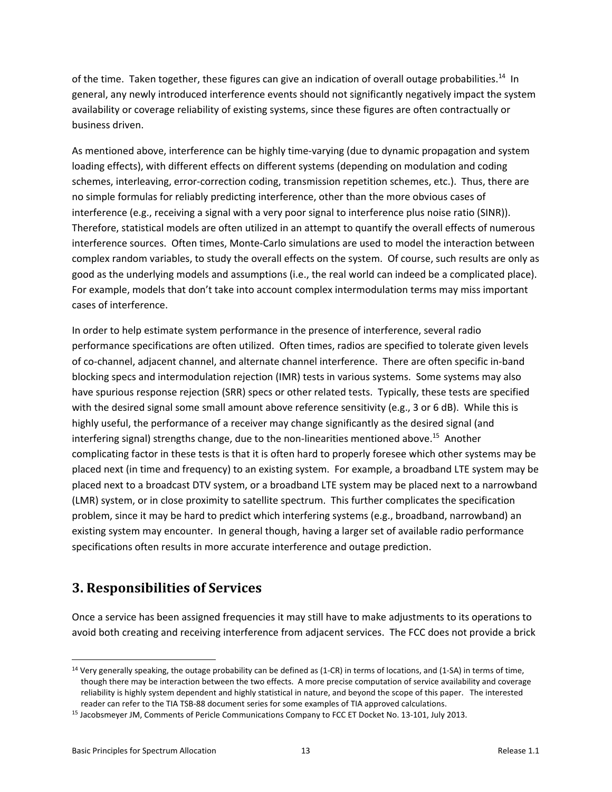of the time. Taken together, these figures can give an indication of overall outage probabilities.<sup>14</sup> In general, any newly introduced interference events should not significantly negatively impact the system availability or coverage reliability of existing systems, since these figures are often contractually or business driven.

As mentioned above, interference can be highly time‐varying (due to dynamic propagation and system loading effects), with different effects on different systems (depending on modulation and coding schemes, interleaving, error-correction coding, transmission repetition schemes, etc.). Thus, there are no simple formulas for reliably predicting interference, other than the more obvious cases of interference (e.g., receiving a signal with a very poor signal to interference plus noise ratio (SINR)). Therefore, statistical models are often utilized in an attempt to quantify the overall effects of numerous interference sources. Often times, Monte‐Carlo simulations are used to model the interaction between complex random variables, to study the overall effects on the system. Of course, such results are only as good as the underlying models and assumptions (i.e., the real world can indeed be a complicated place). For example, models that don't take into account complex intermodulation terms may miss important cases of interference.

In order to help estimate system performance in the presence of interference, several radio performance specifications are often utilized. Often times, radios are specified to tolerate given levels of co-channel, adjacent channel, and alternate channel interference. There are often specific in-band blocking specs and intermodulation rejection (IMR) tests in various systems. Some systems may also have spurious response rejection (SRR) specs or other related tests. Typically, these tests are specified with the desired signal some small amount above reference sensitivity (e.g., 3 or 6 dB). While this is highly useful, the performance of a receiver may change significantly as the desired signal (and interfering signal) strengths change, due to the non-linearities mentioned above.<sup>15</sup> Another complicating factor in these tests is that it is often hard to properly foresee which other systems may be placed next (in time and frequency) to an existing system. For example, a broadband LTE system may be placed next to a broadcast DTV system, or a broadband LTE system may be placed next to a narrowband (LMR) system, or in close proximity to satellite spectrum. This further complicates the specification problem, since it may be hard to predict which interfering systems (e.g., broadband, narrowband) an existing system may encounter. In general though, having a larger set of available radio performance specifications often results in more accurate interference and outage prediction.

## **3. Responsibilities of Services**

Once a service has been assigned frequencies it may still have to make adjustments to its operations to avoid both creating and receiving interference from adjacent services. The FCC does not provide a brick

<sup>&</sup>lt;sup>14</sup> Very generally speaking, the outage probability can be defined as (1-CR) in terms of locations, and (1-SA) in terms of time, though there may be interaction between the two effects. A more precise computation of service availability and coverage reliability is highly system dependent and highly statistical in nature, and beyond the scope of this paper. The interested reader can refer to the TIA TSB‐88 document series for some examples of TIA approved calculations.

<sup>15</sup> Jacobsmeyer JM, Comments of Pericle Communications Company to FCC ET Docket No. 13‐101, July 2013.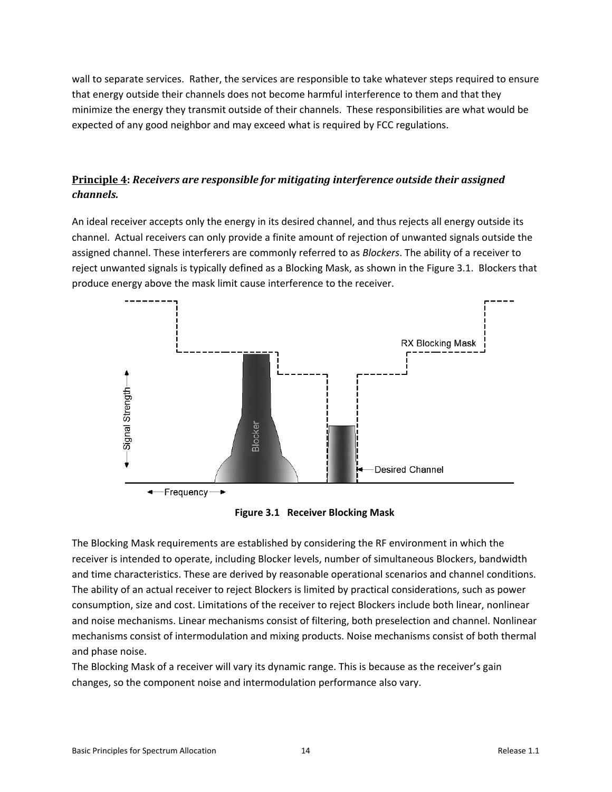wall to separate services. Rather, the services are responsible to take whatever steps required to ensure that energy outside their channels does not become harmful interference to them and that they minimize the energy they transmit outside of their channels. These responsibilities are what would be expected of any good neighbor and may exceed what is required by FCC regulations.

### **Principle 4:** *Receivers are responsible for mitigating interference outside their assigned channels.*

An ideal receiver accepts only the energy in its desired channel, and thus rejects all energy outside its channel. Actual receivers can only provide a finite amount of rejection of unwanted signals outside the assigned channel. These interferers are commonly referred to as *Blockers*. The ability of a receiver to reject unwanted signals is typically defined as a Blocking Mask, as shown in the Figure 3.1. Blockers that produce energy above the mask limit cause interference to the receiver.



**Figure 3.1 Receiver Blocking Mask** 

The Blocking Mask requirements are established by considering the RF environment in which the receiver is intended to operate, including Blocker levels, number of simultaneous Blockers, bandwidth and time characteristics. These are derived by reasonable operational scenarios and channel conditions. The ability of an actual receiver to reject Blockers is limited by practical considerations, such as power consumption, size and cost. Limitations of the receiver to reject Blockers include both linear, nonlinear and noise mechanisms. Linear mechanisms consist of filtering, both preselection and channel. Nonlinear mechanisms consist of intermodulation and mixing products. Noise mechanisms consist of both thermal and phase noise.

The Blocking Mask of a receiver will vary its dynamic range. This is because as the receiver's gain changes, so the component noise and intermodulation performance also vary.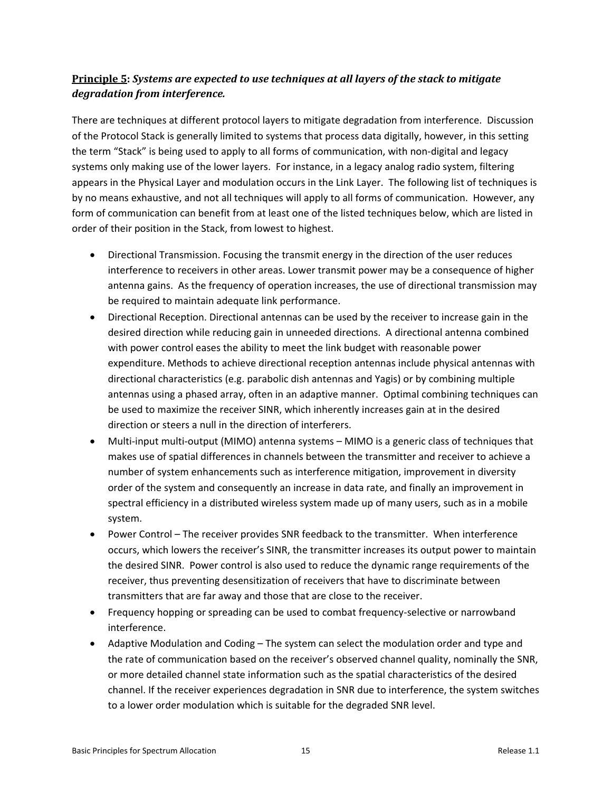### **Principle 5:** *Systems are expected to use techniques at all layers of the stack to mitigate degradation from interference.*

There are techniques at different protocol layers to mitigate degradation from interference. Discussion of the Protocol Stack is generally limited to systems that process data digitally, however, in this setting the term "Stack" is being used to apply to all forms of communication, with non‐digital and legacy systems only making use of the lower layers. For instance, in a legacy analog radio system, filtering appears in the Physical Layer and modulation occurs in the Link Layer. The following list of techniques is by no means exhaustive, and not all techniques will apply to all forms of communication. However, any form of communication can benefit from at least one of the listed techniques below, which are listed in order of their position in the Stack, from lowest to highest.

- Directional Transmission. Focusing the transmit energy in the direction of the user reduces interference to receivers in other areas. Lower transmit power may be a consequence of higher antenna gains. As the frequency of operation increases, the use of directional transmission may be required to maintain adequate link performance.
- Directional Reception. Directional antennas can be used by the receiver to increase gain in the desired direction while reducing gain in unneeded directions. A directional antenna combined with power control eases the ability to meet the link budget with reasonable power expenditure. Methods to achieve directional reception antennas include physical antennas with directional characteristics (e.g. parabolic dish antennas and Yagis) or by combining multiple antennas using a phased array, often in an adaptive manner. Optimal combining techniques can be used to maximize the receiver SINR, which inherently increases gain at in the desired direction or steers a null in the direction of interferers.
- Multi-input multi-output (MIMO) antenna systems MIMO is a generic class of techniques that makes use of spatial differences in channels between the transmitter and receiver to achieve a number of system enhancements such as interference mitigation, improvement in diversity order of the system and consequently an increase in data rate, and finally an improvement in spectral efficiency in a distributed wireless system made up of many users, such as in a mobile system.
- Power Control The receiver provides SNR feedback to the transmitter. When interference occurs, which lowers the receiver's SINR, the transmitter increases its output power to maintain the desired SINR. Power control is also used to reduce the dynamic range requirements of the receiver, thus preventing desensitization of receivers that have to discriminate between transmitters that are far away and those that are close to the receiver.
- Frequency hopping or spreading can be used to combat frequency-selective or narrowband interference.
- Adaptive Modulation and Coding The system can select the modulation order and type and the rate of communication based on the receiver's observed channel quality, nominally the SNR, or more detailed channel state information such as the spatial characteristics of the desired channel. If the receiver experiences degradation in SNR due to interference, the system switches to a lower order modulation which is suitable for the degraded SNR level.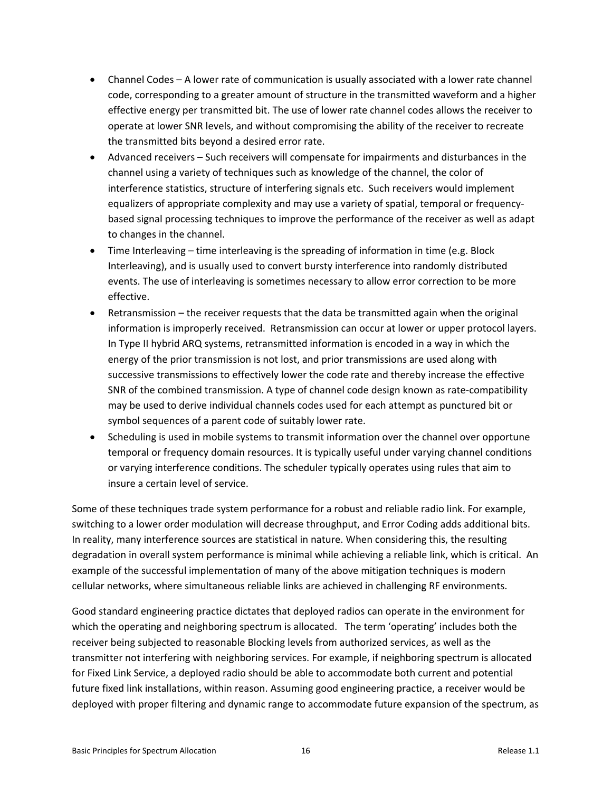- Channel Codes A lower rate of communication is usually associated with a lower rate channel code, corresponding to a greater amount of structure in the transmitted waveform and a higher effective energy per transmitted bit. The use of lower rate channel codes allows the receiver to operate at lower SNR levels, and without compromising the ability of the receiver to recreate the transmitted bits beyond a desired error rate.
- Advanced receivers Such receivers will compensate for impairments and disturbances in the channel using a variety of techniques such as knowledge of the channel, the color of interference statistics, structure of interfering signals etc. Such receivers would implement equalizers of appropriate complexity and may use a variety of spatial, temporal or frequency‐ based signal processing techniques to improve the performance of the receiver as well as adapt to changes in the channel.
- Time Interleaving time interleaving is the spreading of information in time (e.g. Block Interleaving), and is usually used to convert bursty interference into randomly distributed events. The use of interleaving is sometimes necessary to allow error correction to be more effective.
- Retransmission the receiver requests that the data be transmitted again when the original information is improperly received. Retransmission can occur at lower or upper protocol layers. In Type II hybrid ARQ systems, retransmitted information is encoded in a way in which the energy of the prior transmission is not lost, and prior transmissions are used along with successive transmissions to effectively lower the code rate and thereby increase the effective SNR of the combined transmission. A type of channel code design known as rate‐compatibility may be used to derive individual channels codes used for each attempt as punctured bit or symbol sequences of a parent code of suitably lower rate.
- Scheduling is used in mobile systems to transmit information over the channel over opportune temporal or frequency domain resources. It is typically useful under varying channel conditions or varying interference conditions. The scheduler typically operates using rules that aim to insure a certain level of service.

Some of these techniques trade system performance for a robust and reliable radio link. For example, switching to a lower order modulation will decrease throughput, and Error Coding adds additional bits. In reality, many interference sources are statistical in nature. When considering this, the resulting degradation in overall system performance is minimal while achieving a reliable link, which is critical. An example of the successful implementation of many of the above mitigation techniques is modern cellular networks, where simultaneous reliable links are achieved in challenging RF environments.

Good standard engineering practice dictates that deployed radios can operate in the environment for which the operating and neighboring spectrum is allocated. The term 'operating' includes both the receiver being subjected to reasonable Blocking levels from authorized services, as well as the transmitter not interfering with neighboring services. For example, if neighboring spectrum is allocated for Fixed Link Service, a deployed radio should be able to accommodate both current and potential future fixed link installations, within reason. Assuming good engineering practice, a receiver would be deployed with proper filtering and dynamic range to accommodate future expansion of the spectrum, as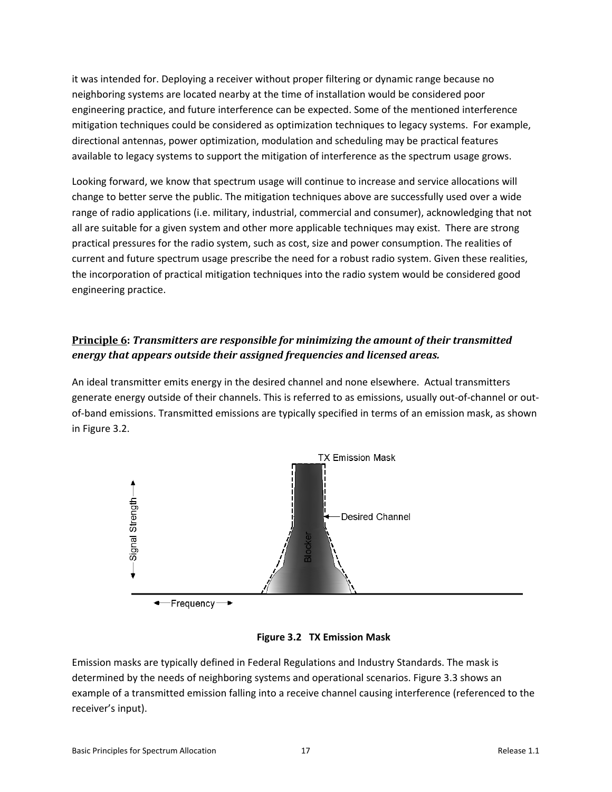it was intended for. Deploying a receiver without proper filtering or dynamic range because no neighboring systems are located nearby at the time of installation would be considered poor engineering practice, and future interference can be expected. Some of the mentioned interference mitigation techniques could be considered as optimization techniques to legacy systems. For example, directional antennas, power optimization, modulation and scheduling may be practical features available to legacy systems to support the mitigation of interference as the spectrum usage grows.

Looking forward, we know that spectrum usage will continue to increase and service allocations will change to better serve the public. The mitigation techniques above are successfully used over a wide range of radio applications (i.e. military, industrial, commercial and consumer), acknowledging that not all are suitable for a given system and other more applicable techniques may exist. There are strong practical pressures for the radio system, such as cost, size and power consumption. The realities of current and future spectrum usage prescribe the need for a robust radio system. Given these realities, the incorporation of practical mitigation techniques into the radio system would be considered good engineering practice.

## **Principle 6:** *Transmitters are responsible for minimizing the amount of their transmitted energy that appears outside their assigned frequencies and licensed areas.*

An ideal transmitter emits energy in the desired channel and none elsewhere. Actual transmitters generate energy outside of their channels. This is referred to as emissions, usually out-of-channel or outof-band emissions. Transmitted emissions are typically specified in terms of an emission mask, as shown in Figure 3.2.



**Figure 3.2 TX Emission Mask** 

Emission masks are typically defined in Federal Regulations and Industry Standards. The mask is determined by the needs of neighboring systems and operational scenarios. Figure 3.3 shows an example of a transmitted emission falling into a receive channel causing interference (referenced to the receiver's input).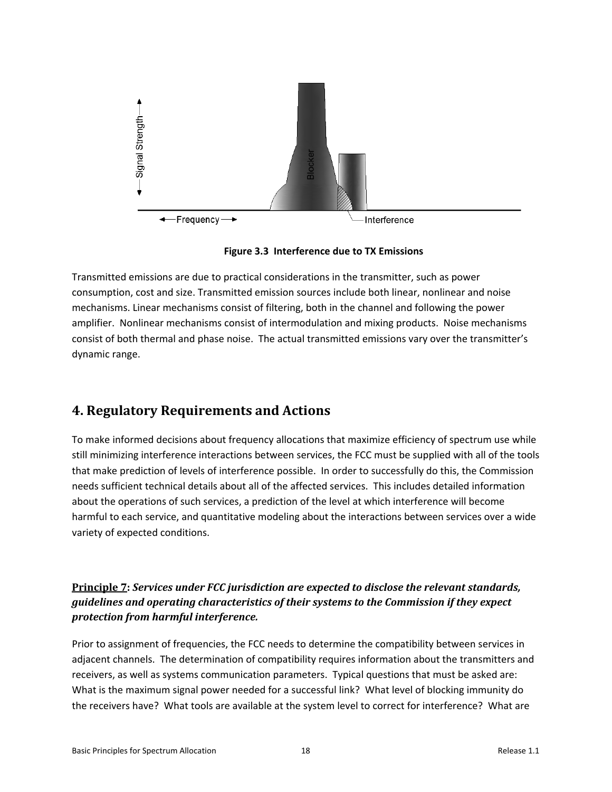

**Figure 3.3 Interference due to TX Emissions** 

Transmitted emissions are due to practical considerations in the transmitter, such as power consumption, cost and size. Transmitted emission sources include both linear, nonlinear and noise mechanisms. Linear mechanisms consist of filtering, both in the channel and following the power amplifier. Nonlinear mechanisms consist of intermodulation and mixing products. Noise mechanisms consist of both thermal and phase noise. The actual transmitted emissions vary over the transmitter's dynamic range.

## **4. Regulatory Requirements and Actions**

To make informed decisions about frequency allocations that maximize efficiency of spectrum use while still minimizing interference interactions between services, the FCC must be supplied with all of the tools that make prediction of levels of interference possible. In order to successfully do this, the Commission needs sufficient technical details about all of the affected services. This includes detailed information about the operations of such services, a prediction of the level at which interference will become harmful to each service, and quantitative modeling about the interactions between services over a wide variety of expected conditions.

## **Principle 7:** *Services under FCC jurisdiction are expected to disclose the relevant standards, guidelines and operating characteristics of their systems to the Commission if they expect protection from harmful interference.*

Prior to assignment of frequencies, the FCC needs to determine the compatibility between services in adjacent channels. The determination of compatibility requires information about the transmitters and receivers, as well as systems communication parameters. Typical questions that must be asked are: What is the maximum signal power needed for a successful link? What level of blocking immunity do the receivers have? What tools are available at the system level to correct for interference? What are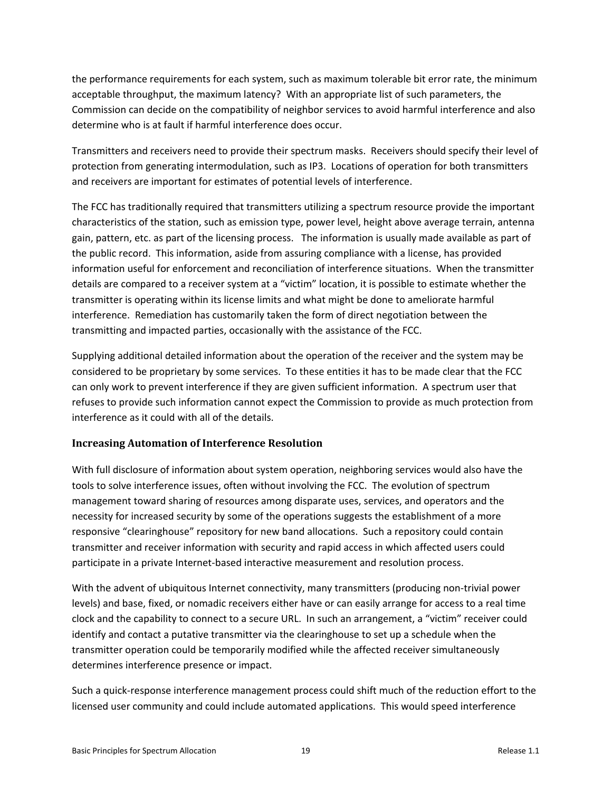the performance requirements for each system, such as maximum tolerable bit error rate, the minimum acceptable throughput, the maximum latency? With an appropriate list of such parameters, the Commission can decide on the compatibility of neighbor services to avoid harmful interference and also determine who is at fault if harmful interference does occur.

Transmitters and receivers need to provide their spectrum masks. Receivers should specify their level of protection from generating intermodulation, such as IP3. Locations of operation for both transmitters and receivers are important for estimates of potential levels of interference.

The FCC has traditionally required that transmitters utilizing a spectrum resource provide the important characteristics of the station, such as emission type, power level, height above average terrain, antenna gain, pattern, etc. as part of the licensing process. The information is usually made available as part of the public record. This information, aside from assuring compliance with a license, has provided information useful for enforcement and reconciliation of interference situations. When the transmitter details are compared to a receiver system at a "victim" location, it is possible to estimate whether the transmitter is operating within its license limits and what might be done to ameliorate harmful interference. Remediation has customarily taken the form of direct negotiation between the transmitting and impacted parties, occasionally with the assistance of the FCC.

Supplying additional detailed information about the operation of the receiver and the system may be considered to be proprietary by some services. To these entities it has to be made clear that the FCC can only work to prevent interference if they are given sufficient information. A spectrum user that refuses to provide such information cannot expect the Commission to provide as much protection from interference as it could with all of the details.

### **Increasing Automation of Interference Resolution**

With full disclosure of information about system operation, neighboring services would also have the tools to solve interference issues, often without involving the FCC. The evolution of spectrum management toward sharing of resources among disparate uses, services, and operators and the necessity for increased security by some of the operations suggests the establishment of a more responsive "clearinghouse" repository for new band allocations. Such a repository could contain transmitter and receiver information with security and rapid access in which affected users could participate in a private Internet-based interactive measurement and resolution process.

With the advent of ubiquitous Internet connectivity, many transmitters (producing non-trivial power levels) and base, fixed, or nomadic receivers either have or can easily arrange for access to a real time clock and the capability to connect to a secure URL. In such an arrangement, a "victim" receiver could identify and contact a putative transmitter via the clearinghouse to set up a schedule when the transmitter operation could be temporarily modified while the affected receiver simultaneously determines interference presence or impact.

Such a quick‐response interference management process could shift much of the reduction effort to the licensed user community and could include automated applications. This would speed interference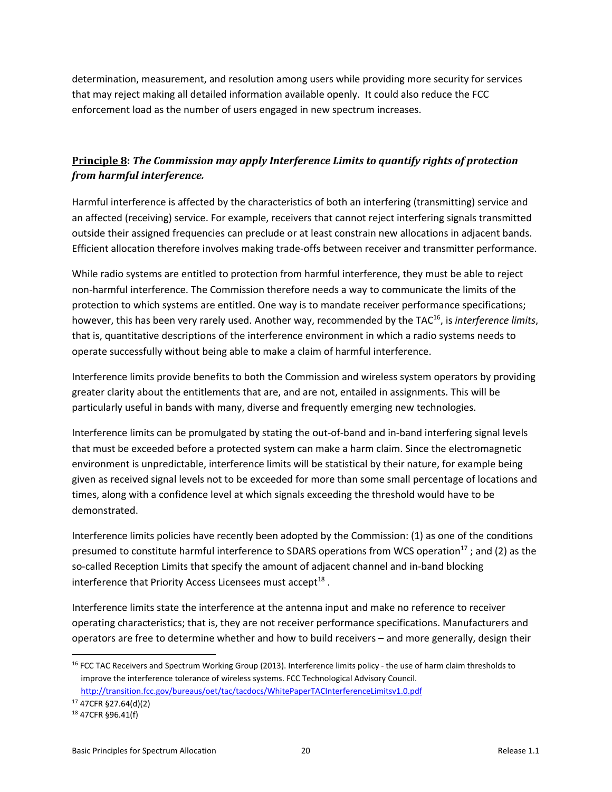determination, measurement, and resolution among users while providing more security for services that may reject making all detailed information available openly. It could also reduce the FCC enforcement load as the number of users engaged in new spectrum increases.

## **Principle 8:** *The Commission may apply Interference Limits to quantify rights of protection from harmful interference.*

Harmful interference is affected by the characteristics of both an interfering (transmitting) service and an affected (receiving) service. For example, receivers that cannot reject interfering signals transmitted outside their assigned frequencies can preclude or at least constrain new allocations in adjacent bands. Efficient allocation therefore involves making trade‐offs between receiver and transmitter performance.

While radio systems are entitled to protection from harmful interference, they must be able to reject non‐harmful interference. The Commission therefore needs a way to communicate the limits of the protection to which systems are entitled. One way is to mandate receiver performance specifications; however, this has been very rarely used. Another way, recommended by the TAC<sup>16</sup>, is *interference limits*, that is, quantitative descriptions of the interference environment in which a radio systems needs to operate successfully without being able to make a claim of harmful interference.

Interference limits provide benefits to both the Commission and wireless system operators by providing greater clarity about the entitlements that are, and are not, entailed in assignments. This will be particularly useful in bands with many, diverse and frequently emerging new technologies.

Interference limits can be promulgated by stating the out‐of‐band and in‐band interfering signal levels that must be exceeded before a protected system can make a harm claim. Since the electromagnetic environment is unpredictable, interference limits will be statistical by their nature, for example being given as received signal levels not to be exceeded for more than some small percentage of locations and times, along with a confidence level at which signals exceeding the threshold would have to be demonstrated.

Interference limits policies have recently been adopted by the Commission: (1) as one of the conditions presumed to constitute harmful interference to SDARS operations from WCS operation<sup>17</sup>; and (2) as the so-called Reception Limits that specify the amount of adjacent channel and in-band blocking interference that Priority Access Licensees must accept<sup>18</sup>.

Interference limits state the interference at the antenna input and make no reference to receiver operating characteristics; that is, they are not receiver performance specifications. Manufacturers and operators are free to determine whether and how to build receivers – and more generally, design their

<sup>&</sup>lt;sup>16</sup> FCC TAC Receivers and Spectrum Working Group (2013). Interference limits policy - the use of harm claim thresholds to improve the interference tolerance of wireless systems. FCC Technological Advisory Council.

http://transition.fcc.gov/bureaus/oet/tac/tacdocs/WhitePaperTACInterferenceLimitsv1.0.pdf 17 47CFR §27.64(d)(2)

<sup>18 47</sup>CFR §96.41(f)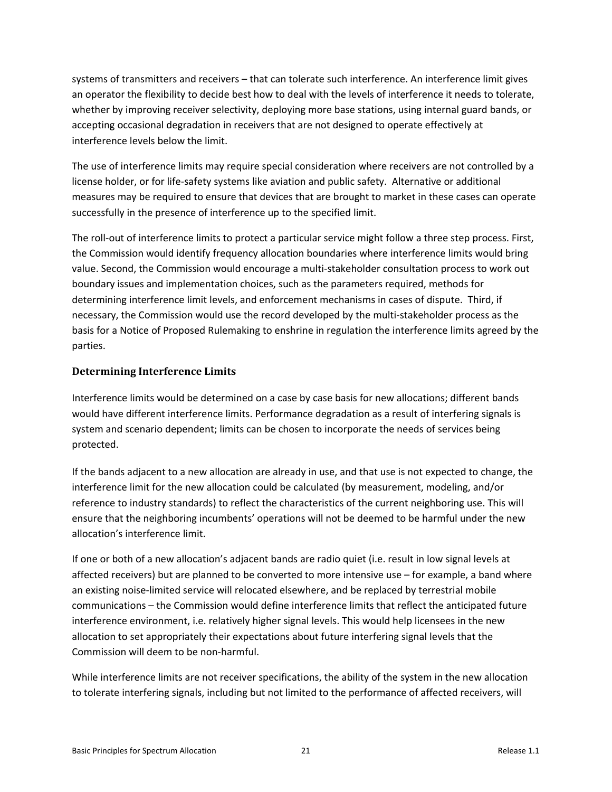systems of transmitters and receivers – that can tolerate such interference. An interference limit gives an operator the flexibility to decide best how to deal with the levels of interference it needs to tolerate, whether by improving receiver selectivity, deploying more base stations, using internal guard bands, or accepting occasional degradation in receivers that are not designed to operate effectively at interference levels below the limit.

The use of interference limits may require special consideration where receivers are not controlled by a license holder, or for life‐safety systems like aviation and public safety. Alternative or additional measures may be required to ensure that devices that are brought to market in these cases can operate successfully in the presence of interference up to the specified limit.

The roll‐out of interference limits to protect a particular service might follow a three step process. First, the Commission would identify frequency allocation boundaries where interference limits would bring value. Second, the Commission would encourage a multi‐stakeholder consultation process to work out boundary issues and implementation choices, such as the parameters required, methods for determining interference limit levels, and enforcement mechanisms in cases of dispute. Third, if necessary, the Commission would use the record developed by the multi‐stakeholder process as the basis for a Notice of Proposed Rulemaking to enshrine in regulation the interference limits agreed by the parties.

### **Determining Interference Limits**

Interference limits would be determined on a case by case basis for new allocations; different bands would have different interference limits. Performance degradation as a result of interfering signals is system and scenario dependent; limits can be chosen to incorporate the needs of services being protected.

If the bands adjacent to a new allocation are already in use, and that use is not expected to change, the interference limit for the new allocation could be calculated (by measurement, modeling, and/or reference to industry standards) to reflect the characteristics of the current neighboring use. This will ensure that the neighboring incumbents' operations will not be deemed to be harmful under the new allocation's interference limit.

If one or both of a new allocation's adjacent bands are radio quiet (i.e. result in low signal levels at affected receivers) but are planned to be converted to more intensive use – for example, a band where an existing noise-limited service will relocated elsewhere, and be replaced by terrestrial mobile communications – the Commission would define interference limits that reflect the anticipated future interference environment, i.e. relatively higher signal levels. This would help licensees in the new allocation to set appropriately their expectations about future interfering signal levels that the Commission will deem to be non‐harmful.

While interference limits are not receiver specifications, the ability of the system in the new allocation to tolerate interfering signals, including but not limited to the performance of affected receivers, will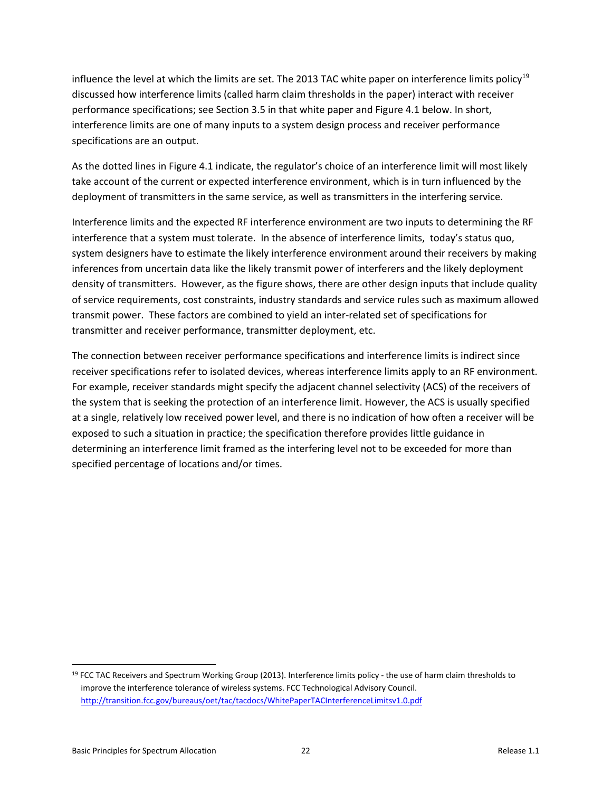influence the level at which the limits are set. The 2013 TAC white paper on interference limits policy<sup>19</sup> discussed how interference limits (called harm claim thresholds in the paper) interact with receiver performance specifications; see Section 3.5 in that white paper and Figure 4.1 below. In short, interference limits are one of many inputs to a system design process and receiver performance specifications are an output.

As the dotted lines in Figure 4.1 indicate, the regulator's choice of an interference limit will most likely take account of the current or expected interference environment, which is in turn influenced by the deployment of transmitters in the same service, as well as transmitters in the interfering service.

Interference limits and the expected RF interference environment are two inputs to determining the RF interference that a system must tolerate. In the absence of interference limits, today's status quo, system designers have to estimate the likely interference environment around their receivers by making inferences from uncertain data like the likely transmit power of interferers and the likely deployment density of transmitters. However, as the figure shows, there are other design inputs that include quality of service requirements, cost constraints, industry standards and service rules such as maximum allowed transmit power. These factors are combined to yield an inter‐related set of specifications for transmitter and receiver performance, transmitter deployment, etc.

The connection between receiver performance specifications and interference limits is indirect since receiver specifications refer to isolated devices, whereas interference limits apply to an RF environment. For example, receiver standards might specify the adjacent channel selectivity (ACS) of the receivers of the system that is seeking the protection of an interference limit. However, the ACS is usually specified at a single, relatively low received power level, and there is no indication of how often a receiver will be exposed to such a situation in practice; the specification therefore provides little guidance in determining an interference limit framed as the interfering level not to be exceeded for more than specified percentage of locations and/or times.

 $19$  FCC TAC Receivers and Spectrum Working Group (2013). Interference limits policy - the use of harm claim thresholds to improve the interference tolerance of wireless systems. FCC Technological Advisory Council. http://transition.fcc.gov/bureaus/oet/tac/tacdocs/WhitePaperTACInterferenceLimitsv1.0.pdf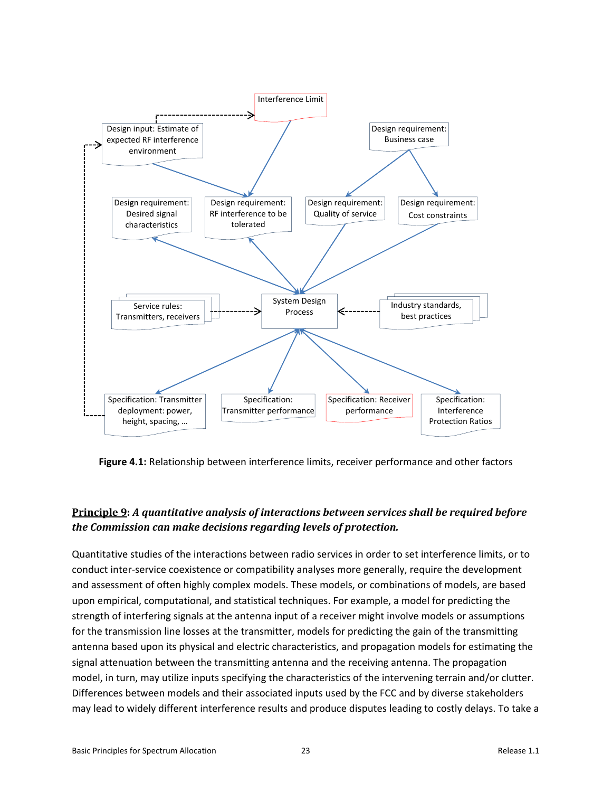

**Figure 4.1:** Relationship between interference limits, receiver performance and other factors

### **Principle 9:** *A quantitative analysis of interactions between services shall be required before the Commission can make decisions regarding levels of protection.*

Quantitative studies of the interactions between radio services in order to set interference limits, or to conduct inter‐service coexistence or compatibility analyses more generally, require the development and assessment of often highly complex models. These models, or combinations of models, are based upon empirical, computational, and statistical techniques. For example, a model for predicting the strength of interfering signals at the antenna input of a receiver might involve models or assumptions for the transmission line losses at the transmitter, models for predicting the gain of the transmitting antenna based upon its physical and electric characteristics, and propagation models for estimating the signal attenuation between the transmitting antenna and the receiving antenna. The propagation model, in turn, may utilize inputs specifying the characteristics of the intervening terrain and/or clutter. Differences between models and their associated inputs used by the FCC and by diverse stakeholders may lead to widely different interference results and produce disputes leading to costly delays. To take a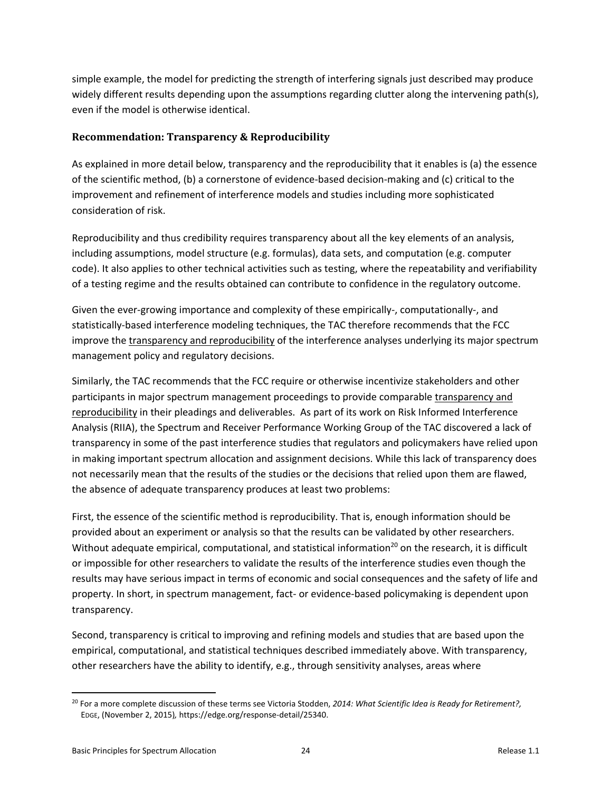simple example, the model for predicting the strength of interfering signals just described may produce widely different results depending upon the assumptions regarding clutter along the intervening path(s), even if the model is otherwise identical.

### **Recommendation: Transparency & Reproducibility**

As explained in more detail below, transparency and the reproducibility that it enables is (a) the essence of the scientific method, (b) a cornerstone of evidence‐based decision‐making and (c) critical to the improvement and refinement of interference models and studies including more sophisticated consideration of risk.

Reproducibility and thus credibility requires transparency about all the key elements of an analysis, including assumptions, model structure (e.g. formulas), data sets, and computation (e.g. computer code). It also applies to other technical activities such as testing, where the repeatability and verifiability of a testing regime and the results obtained can contribute to confidence in the regulatory outcome.

Given the ever-growing importance and complexity of these empirically-, computationally-, and statistically‐based interference modeling techniques, the TAC therefore recommends that the FCC improve the transparency and reproducibility of the interference analyses underlying its major spectrum management policy and regulatory decisions.

Similarly, the TAC recommends that the FCC require or otherwise incentivize stakeholders and other participants in major spectrum management proceedings to provide comparable transparency and reproducibility in their pleadings and deliverables. As part of its work on Risk Informed Interference Analysis (RIIA), the Spectrum and Receiver Performance Working Group of the TAC discovered a lack of transparency in some of the past interference studies that regulators and policymakers have relied upon in making important spectrum allocation and assignment decisions. While this lack of transparency does not necessarily mean that the results of the studies or the decisions that relied upon them are flawed, the absence of adequate transparency produces at least two problems:

First, the essence of the scientific method is reproducibility. That is, enough information should be provided about an experiment or analysis so that the results can be validated by other researchers. Without adequate empirical, computational, and statistical information<sup>20</sup> on the research, it is difficult or impossible for other researchers to validate the results of the interference studies even though the results may have serious impact in terms of economic and social consequences and the safety of life and property. In short, in spectrum management, fact‐ or evidence‐based policymaking is dependent upon transparency.

Second, transparency is critical to improving and refining models and studies that are based upon the empirical, computational, and statistical techniques described immediately above. With transparency, other researchers have the ability to identify, e.g., through sensitivity analyses, areas where

<sup>20</sup> For a more complete discussion of these terms see Victoria Stodden, *2014: What Scientific Idea is Ready for Retirement?,*  EDGE, (November 2, 2015)*,* https://edge.org/response‐detail/25340.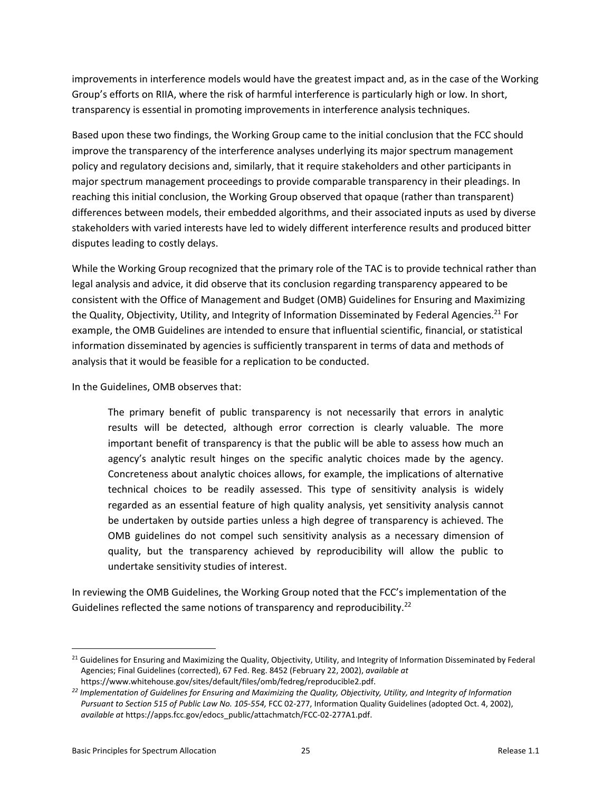improvements in interference models would have the greatest impact and, as in the case of the Working Group's efforts on RIIA, where the risk of harmful interference is particularly high or low. In short, transparency is essential in promoting improvements in interference analysis techniques.

Based upon these two findings, the Working Group came to the initial conclusion that the FCC should improve the transparency of the interference analyses underlying its major spectrum management policy and regulatory decisions and, similarly, that it require stakeholders and other participants in major spectrum management proceedings to provide comparable transparency in their pleadings. In reaching this initial conclusion, the Working Group observed that opaque (rather than transparent) differences between models, their embedded algorithms, and their associated inputs as used by diverse stakeholders with varied interests have led to widely different interference results and produced bitter disputes leading to costly delays.

While the Working Group recognized that the primary role of the TAC is to provide technical rather than legal analysis and advice, it did observe that its conclusion regarding transparency appeared to be consistent with the Office of Management and Budget (OMB) Guidelines for Ensuring and Maximizing the Quality, Objectivity, Utility, and Integrity of Information Disseminated by Federal Agencies.<sup>21</sup> For example, the OMB Guidelines are intended to ensure that influential scientific, financial, or statistical information disseminated by agencies is sufficiently transparent in terms of data and methods of analysis that it would be feasible for a replication to be conducted.

In the Guidelines, OMB observes that:

The primary benefit of public transparency is not necessarily that errors in analytic results will be detected, although error correction is clearly valuable. The more important benefit of transparency is that the public will be able to assess how much an agency's analytic result hinges on the specific analytic choices made by the agency. Concreteness about analytic choices allows, for example, the implications of alternative technical choices to be readily assessed. This type of sensitivity analysis is widely regarded as an essential feature of high quality analysis, yet sensitivity analysis cannot be undertaken by outside parties unless a high degree of transparency is achieved. The OMB guidelines do not compel such sensitivity analysis as a necessary dimension of quality, but the transparency achieved by reproducibility will allow the public to undertake sensitivity studies of interest.

In reviewing the OMB Guidelines, the Working Group noted that the FCC's implementation of the Guidelines reflected the same notions of transparency and reproducibility.<sup>22</sup>

<sup>&</sup>lt;sup>21</sup> Guidelines for Ensuring and Maximizing the Quality, Objectivity, Utility, and Integrity of Information Disseminated by Federal Agencies; Final Guidelines (corrected), 67 Fed. Reg. 8452 (February 22, 2002), *available at* https://www.whitehouse.gov/sites/default/files/omb/fedreg/reproducible2.pdf.

*<sup>22</sup> Implementation of Guidelines for Ensuring and Maximizing the Quality, Objectivity, Utility, and Integrity of Information Pursuant to Section 515 of Public Law No. 105‐554,* FCC 02‐277, Information Quality Guidelines (adopted Oct. 4, 2002), *available at* https://apps.fcc.gov/edocs\_public/attachmatch/FCC‐02‐277A1.pdf.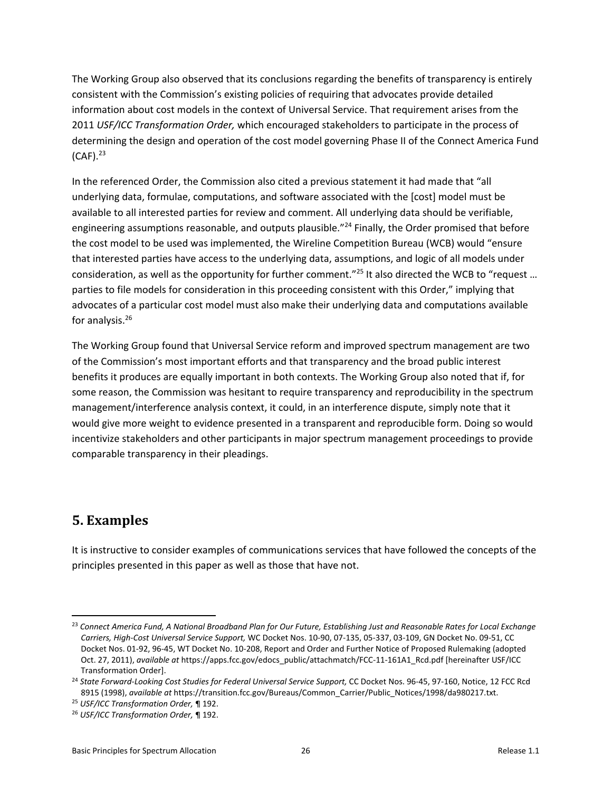The Working Group also observed that its conclusions regarding the benefits of transparency is entirely consistent with the Commission's existing policies of requiring that advocates provide detailed information about cost models in the context of Universal Service. That requirement arises from the 2011 *USF/ICC Transformation Order,* which encouraged stakeholders to participate in the process of determining the design and operation of the cost model governing Phase II of the Connect America Fund  $(CAF)$ .  $23$ 

In the referenced Order, the Commission also cited a previous statement it had made that "all underlying data, formulae, computations, and software associated with the [cost] model must be available to all interested parties for review and comment. All underlying data should be verifiable, engineering assumptions reasonable, and outputs plausible."<sup>24</sup> Finally, the Order promised that before the cost model to be used was implemented, the Wireline Competition Bureau (WCB) would "ensure that interested parties have access to the underlying data, assumptions, and logic of all models under consideration, as well as the opportunity for further comment."<sup>25</sup> It also directed the WCB to "request ... parties to file models for consideration in this proceeding consistent with this Order," implying that advocates of a particular cost model must also make their underlying data and computations available for analysis.26

The Working Group found that Universal Service reform and improved spectrum management are two of the Commission's most important efforts and that transparency and the broad public interest benefits it produces are equally important in both contexts. The Working Group also noted that if, for some reason, the Commission was hesitant to require transparency and reproducibility in the spectrum management/interference analysis context, it could, in an interference dispute, simply note that it would give more weight to evidence presented in a transparent and reproducible form. Doing so would incentivize stakeholders and other participants in major spectrum management proceedings to provide comparable transparency in their pleadings.

## **5. Examples**

It is instructive to consider examples of communications services that have followed the concepts of the principles presented in this paper as well as those that have not.

<sup>23</sup> *Connect America Fund, A National Broadband Plan for Our Future, Establishing Just and Reasonable Rates for Local Exchange Carriers, High‐Cost Universal Service Support,* WC Docket Nos. 10‐90, 07‐135, 05‐337, 03‐109, GN Docket No. 09‐51, CC Docket Nos. 01‐92, 96‐45, WT Docket No. 10‐208, Report and Order and Further Notice of Proposed Rulemaking (adopted Oct. 27, 2011), *available at* https://apps.fcc.gov/edocs\_public/attachmatch/FCC‐11‐161A1\_Rcd.pdf [hereinafter USF/ICC Transformation Order].

<sup>24</sup> *State Forward‐Looking Cost Studies for Federal Universal Service Support,* CC Docket Nos. 96‐45, 97‐160, Notice, 12 FCC Rcd 8915 (1998), *available at* https://transition.fcc.gov/Bureaus/Common\_Carrier/Public\_Notices/1998/da980217.txt.

<sup>25</sup> *USF/ICC Transformation Order,* ¶ 192.

<sup>26</sup> *USF/ICC Transformation Order,* ¶ 192.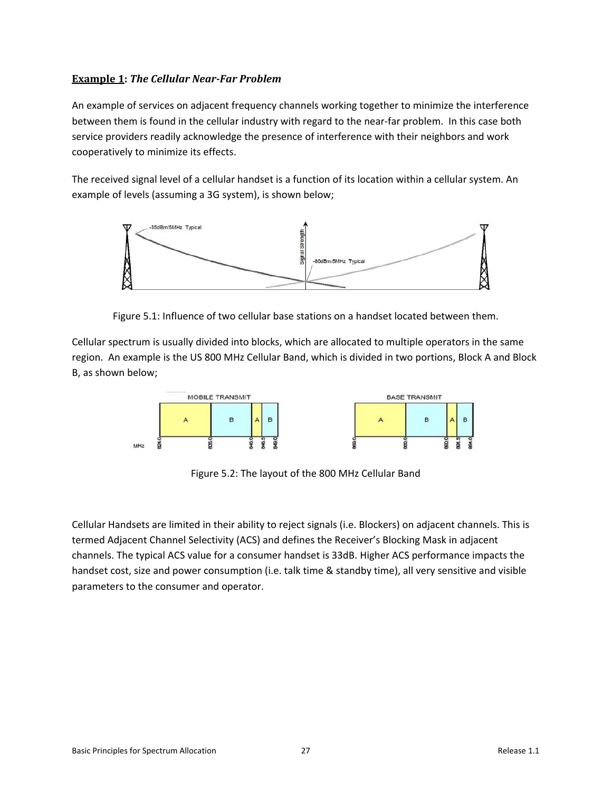### **Example 1:** *The Cellular Near‐Far Problem*

An example of services on adjacent frequency channels working together to minimize the interference between them is found in the cellular industry with regard to the near-far problem. In this case both service providers readily acknowledge the presence of interference with their neighbors and work cooperatively to minimize its effects.

The received signal level of a cellular handset is a function of its location within a cellular system. An example of levels (assuming a 3G system), is shown below;



Figure 5.1: Influence of two cellular base stations on a handset located between them.

Cellular spectrum is usually divided into blocks, which are allocated to multiple operators in the same region. An example is the US 800 MHz Cellular Band, which is divided in two portions, Block A and Block B, as shown below;



Figure 5.2: The layout of the 800 MHz Cellular Band

Cellular Handsets are limited in their ability to reject signals (i.e. Blockers) on adjacent channels. This is termed Adjacent Channel Selectivity (ACS) and defines the Receiver's Blocking Mask in adjacent channels. The typical ACS value for a consumer handset is 33dB. Higher ACS performance impacts the handset cost, size and power consumption (i.e. talk time & standby time), all very sensitive and visible parameters to the consumer and operator.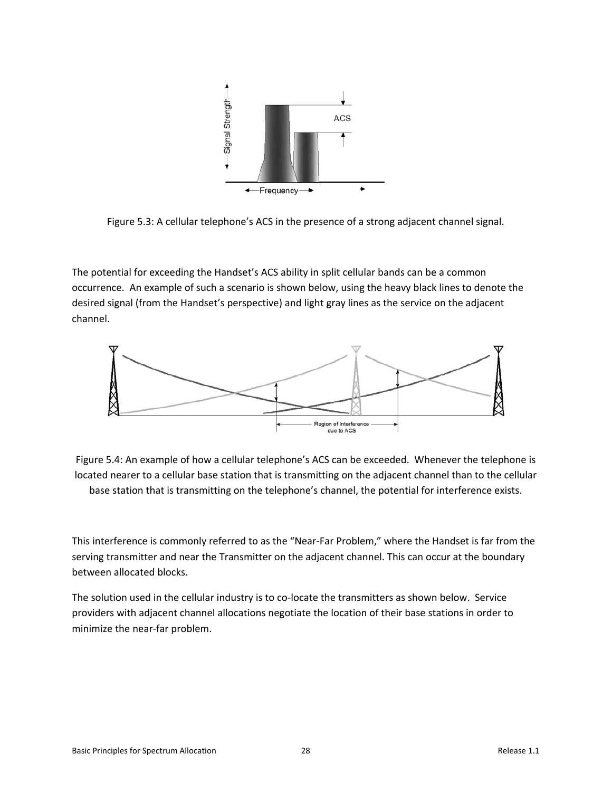

Figure 5.3: A cellular telephone's ACS in the presence of a strong adjacent channel signal.

The potential for exceeding the Handset's ACS ability in split cellular bands can be a common occurrence. An example of such a scenario is shown below, using the heavy black lines to denote the desired signal (from the Handset's perspective) and light gray lines as the service on the adjacent channel.



Figure 5.4: An example of how a cellular telephone's ACS can be exceeded. Whenever the telephone is located nearer to a cellular base station that is transmitting on the adjacent channel than to the cellular base station that is transmitting on the telephone's channel, the potential for interference exists.

This interference is commonly referred to as the "Near‐Far Problem," where the Handset is far from the serving transmitter and near the Transmitter on the adjacent channel. This can occur at the boundary between allocated blocks.

The solution used in the cellular industry is to co-locate the transmitters as shown below. Service providers with adjacent channel allocations negotiate the location of their base stations in order to minimize the near‐far problem.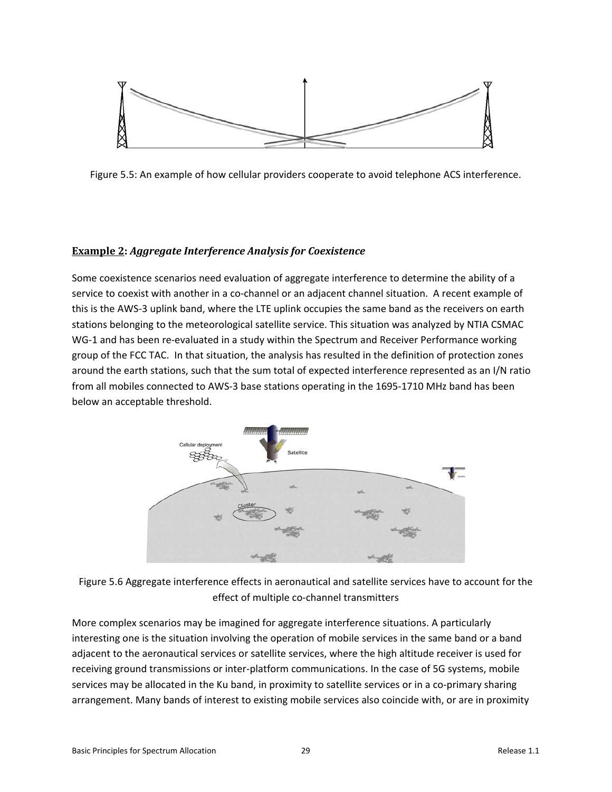

Figure 5.5: An example of how cellular providers cooperate to avoid telephone ACS interference.

### **Example 2:** *Aggregate Interference Analysis for Coexistence*

Some coexistence scenarios need evaluation of aggregate interference to determine the ability of a service to coexist with another in a co-channel or an adjacent channel situation. A recent example of this is the AWS‐3 uplink band, where the LTE uplink occupies the same band as the receivers on earth stations belonging to the meteorological satellite service. This situation was analyzed by NTIA CSMAC WG-1 and has been re-evaluated in a study within the Spectrum and Receiver Performance working group of the FCC TAC. In that situation, the analysis has resulted in the definition of protection zones around the earth stations, such that the sum total of expected interference represented as an I/N ratio from all mobiles connected to AWS‐3 base stations operating in the 1695‐1710 MHz band has been below an acceptable threshold.



Figure 5.6 Aggregate interference effects in aeronautical and satellite services have to account for the effect of multiple co-channel transmitters

More complex scenarios may be imagined for aggregate interference situations. A particularly interesting one is the situation involving the operation of mobile services in the same band or a band adjacent to the aeronautical services or satellite services, where the high altitude receiver is used for receiving ground transmissions or inter‐platform communications. In the case of 5G systems, mobile services may be allocated in the Ku band, in proximity to satellite services or in a co-primary sharing arrangement. Many bands of interest to existing mobile services also coincide with, or are in proximity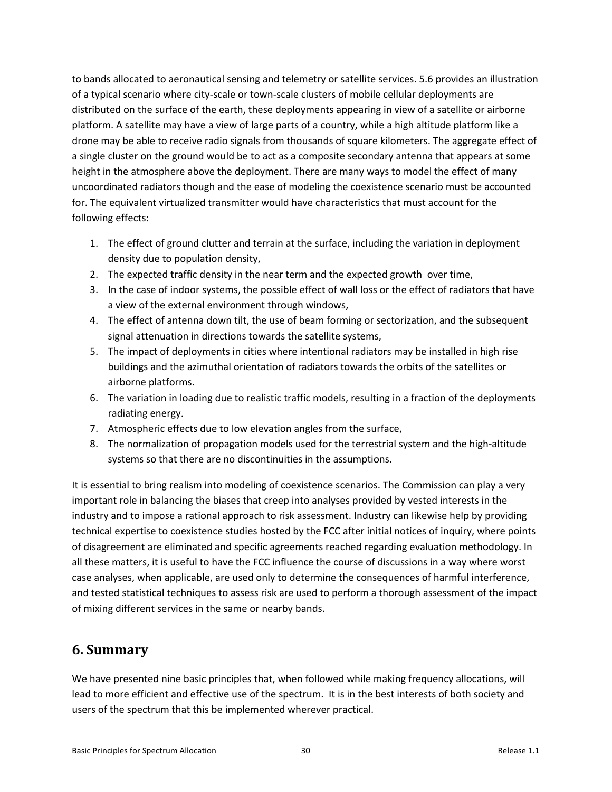to bands allocated to aeronautical sensing and telemetry or satellite services. 5.6 provides an illustration of a typical scenario where city‐scale or town‐scale clusters of mobile cellular deployments are distributed on the surface of the earth, these deployments appearing in view of a satellite or airborne platform. A satellite may have a view of large parts of a country, while a high altitude platform like a drone may be able to receive radio signals from thousands of square kilometers. The aggregate effect of a single cluster on the ground would be to act as a composite secondary antenna that appears at some height in the atmosphere above the deployment. There are many ways to model the effect of many uncoordinated radiators though and the ease of modeling the coexistence scenario must be accounted for. The equivalent virtualized transmitter would have characteristics that must account for the following effects:

- 1. The effect of ground clutter and terrain at the surface, including the variation in deployment density due to population density,
- 2. The expected traffic density in the near term and the expected growth over time,
- 3. In the case of indoor systems, the possible effect of wall loss or the effect of radiators that have a view of the external environment through windows,
- 4. The effect of antenna down tilt, the use of beam forming or sectorization, and the subsequent signal attenuation in directions towards the satellite systems,
- 5. The impact of deployments in cities where intentional radiators may be installed in high rise buildings and the azimuthal orientation of radiators towards the orbits of the satellites or airborne platforms.
- 6. The variation in loading due to realistic traffic models, resulting in a fraction of the deployments radiating energy.
- 7. Atmospheric effects due to low elevation angles from the surface,
- 8. The normalization of propagation models used for the terrestrial system and the high-altitude systems so that there are no discontinuities in the assumptions.

It is essential to bring realism into modeling of coexistence scenarios. The Commission can play a very important role in balancing the biases that creep into analyses provided by vested interests in the industry and to impose a rational approach to risk assessment. Industry can likewise help by providing technical expertise to coexistence studies hosted by the FCC after initial notices of inquiry, where points of disagreement are eliminated and specific agreements reached regarding evaluation methodology. In all these matters, it is useful to have the FCC influence the course of discussions in a way where worst case analyses, when applicable, are used only to determine the consequences of harmful interference, and tested statistical techniques to assess risk are used to perform a thorough assessment of the impact of mixing different services in the same or nearby bands.

## **6. Summary**

We have presented nine basic principles that, when followed while making frequency allocations, will lead to more efficient and effective use of the spectrum. It is in the best interests of both society and users of the spectrum that this be implemented wherever practical.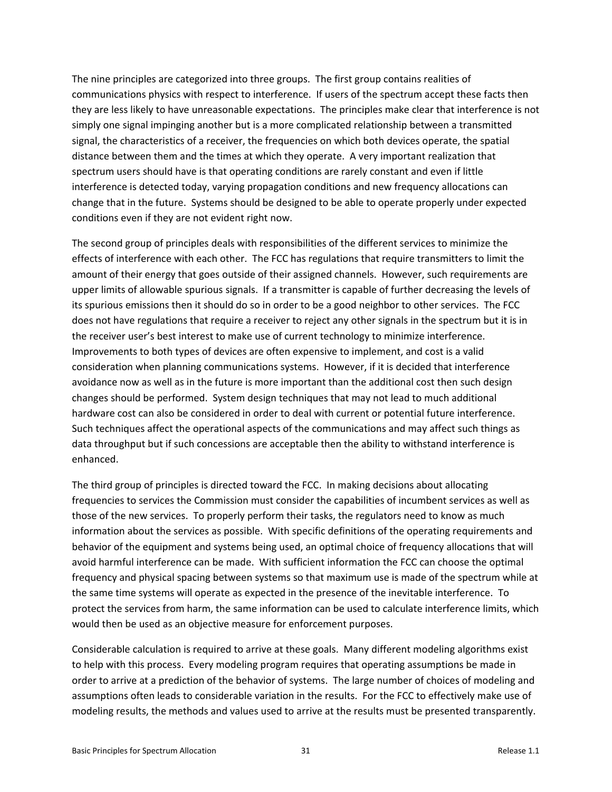The nine principles are categorized into three groups. The first group contains realities of communications physics with respect to interference. If users of the spectrum accept these facts then they are less likely to have unreasonable expectations. The principles make clear that interference is not simply one signal impinging another but is a more complicated relationship between a transmitted signal, the characteristics of a receiver, the frequencies on which both devices operate, the spatial distance between them and the times at which they operate. A very important realization that spectrum users should have is that operating conditions are rarely constant and even if little interference is detected today, varying propagation conditions and new frequency allocations can change that in the future. Systems should be designed to be able to operate properly under expected conditions even if they are not evident right now.

The second group of principles deals with responsibilities of the different services to minimize the effects of interference with each other. The FCC has regulations that require transmitters to limit the amount of their energy that goes outside of their assigned channels. However, such requirements are upper limits of allowable spurious signals. If a transmitter is capable of further decreasing the levels of its spurious emissions then it should do so in order to be a good neighbor to other services. The FCC does not have regulations that require a receiver to reject any other signals in the spectrum but it is in the receiver user's best interest to make use of current technology to minimize interference. Improvements to both types of devices are often expensive to implement, and cost is a valid consideration when planning communications systems. However, if it is decided that interference avoidance now as well as in the future is more important than the additional cost then such design changes should be performed. System design techniques that may not lead to much additional hardware cost can also be considered in order to deal with current or potential future interference. Such techniques affect the operational aspects of the communications and may affect such things as data throughput but if such concessions are acceptable then the ability to withstand interference is enhanced.

The third group of principles is directed toward the FCC. In making decisions about allocating frequencies to services the Commission must consider the capabilities of incumbent services as well as those of the new services. To properly perform their tasks, the regulators need to know as much information about the services as possible. With specific definitions of the operating requirements and behavior of the equipment and systems being used, an optimal choice of frequency allocations that will avoid harmful interference can be made. With sufficient information the FCC can choose the optimal frequency and physical spacing between systems so that maximum use is made of the spectrum while at the same time systems will operate as expected in the presence of the inevitable interference. To protect the services from harm, the same information can be used to calculate interference limits, which would then be used as an objective measure for enforcement purposes.

Considerable calculation is required to arrive at these goals. Many different modeling algorithms exist to help with this process. Every modeling program requires that operating assumptions be made in order to arrive at a prediction of the behavior of systems. The large number of choices of modeling and assumptions often leads to considerable variation in the results. For the FCC to effectively make use of modeling results, the methods and values used to arrive at the results must be presented transparently.